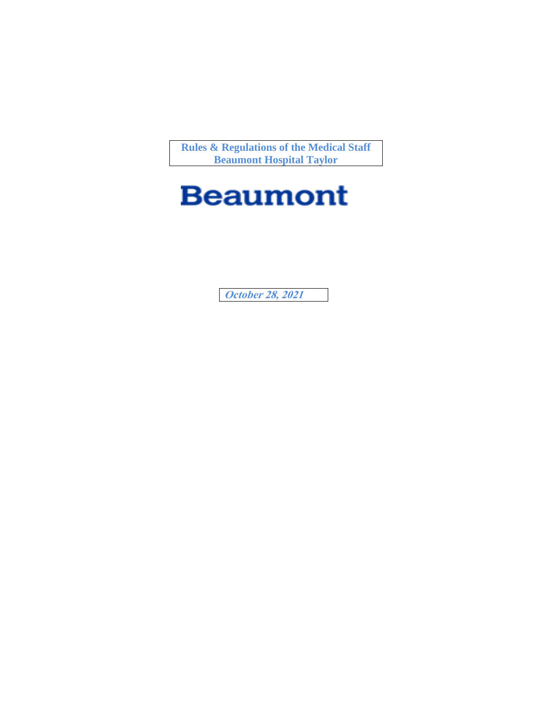**Rules & Regulations of the Medical Staff Beaumont Hospital Taylor**

# **Beaumont**

**October 28, 2021**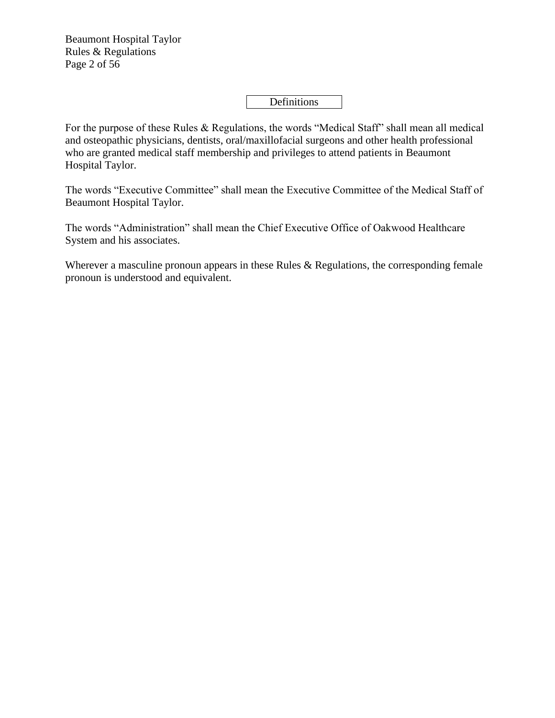Beaumont Hospital Taylor Rules & Regulations Page 2 of 56

# Definitions

For the purpose of these Rules & Regulations, the words "Medical Staff" shall mean all medical and osteopathic physicians, dentists, oral/maxillofacial surgeons and other health professional who are granted medical staff membership and privileges to attend patients in Beaumont Hospital Taylor.

The words "Executive Committee" shall mean the Executive Committee of the Medical Staff of Beaumont Hospital Taylor.

The words "Administration" shall mean the Chief Executive Office of Oakwood Healthcare System and his associates.

Wherever a masculine pronoun appears in these Rules & Regulations, the corresponding female pronoun is understood and equivalent.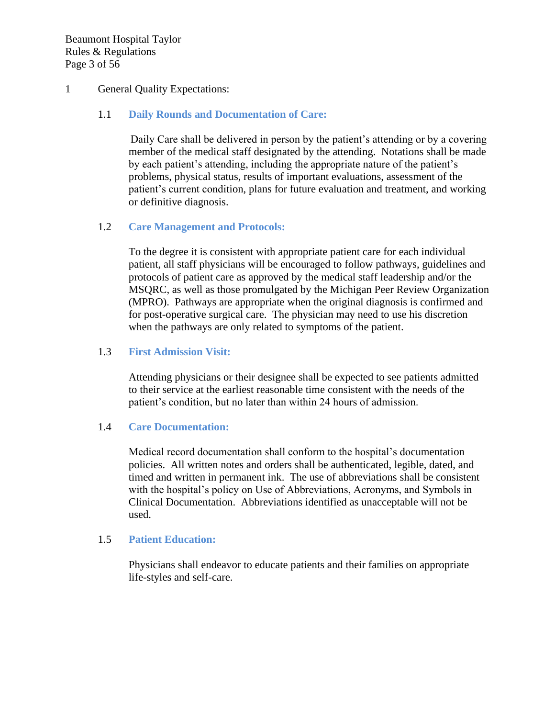Beaumont Hospital Taylor Rules & Regulations Page 3 of 56

## 1 General Quality Expectations:

## 1.1 **Daily Rounds and Documentation of Care:**

Daily Care shall be delivered in person by the patient's attending or by a covering member of the medical staff designated by the attending. Notations shall be made by each patient's attending, including the appropriate nature of the patient's problems, physical status, results of important evaluations, assessment of the patient's current condition, plans for future evaluation and treatment, and working or definitive diagnosis.

## 1.2 **Care Management and Protocols:**

To the degree it is consistent with appropriate patient care for each individual patient, all staff physicians will be encouraged to follow pathways, guidelines and protocols of patient care as approved by the medical staff leadership and/or the MSQRC, as well as those promulgated by the Michigan Peer Review Organization (MPRO). Pathways are appropriate when the original diagnosis is confirmed and for post-operative surgical care. The physician may need to use his discretion when the pathways are only related to symptoms of the patient.

## 1.3 **First Admission Visit:**

Attending physicians or their designee shall be expected to see patients admitted to their service at the earliest reasonable time consistent with the needs of the patient's condition, but no later than within 24 hours of admission.

#### 1.4 **Care Documentation:**

Medical record documentation shall conform to the hospital's documentation policies. All written notes and orders shall be authenticated, legible, dated, and timed and written in permanent ink. The use of abbreviations shall be consistent with the hospital's policy on Use of Abbreviations, Acronyms, and Symbols in Clinical Documentation. Abbreviations identified as unacceptable will not be used.

#### 1.5 **Patient Education:**

Physicians shall endeavor to educate patients and their families on appropriate life-styles and self-care.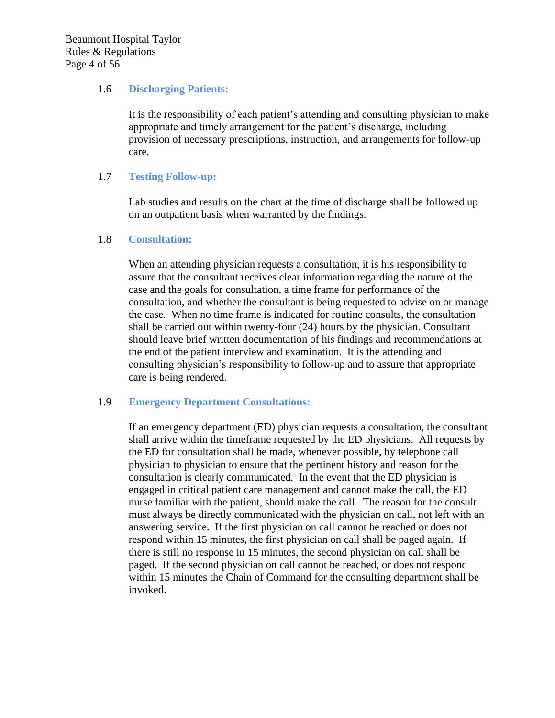#### 1.6 **Discharging Patients:**

It is the responsibility of each patient's attending and consulting physician to make appropriate and timely arrangement for the patient's discharge, including provision of necessary prescriptions, instruction, and arrangements for follow-up care.

#### 1.7 **Testing Follow-up:**

Lab studies and results on the chart at the time of discharge shall be followed up on an outpatient basis when warranted by the findings.

## 1.8 **Consultation:**

When an attending physician requests a consultation, it is his responsibility to assure that the consultant receives clear information regarding the nature of the case and the goals for consultation, a time frame for performance of the consultation, and whether the consultant is being requested to advise on or manage the case. When no time frame is indicated for routine consults, the consultation shall be carried out within twenty-four (24) hours by the physician. Consultant should leave brief written documentation of his findings and recommendations at the end of the patient interview and examination. It is the attending and consulting physician's responsibility to follow-up and to assure that appropriate care is being rendered.

#### 1.9 **Emergency Department Consultations:**

If an emergency department (ED) physician requests a consultation, the consultant shall arrive within the timeframe requested by the ED physicians. All requests by the ED for consultation shall be made, whenever possible, by telephone call physician to physician to ensure that the pertinent history and reason for the consultation is clearly communicated. In the event that the ED physician is engaged in critical patient care management and cannot make the call, the ED nurse familiar with the patient, should make the call. The reason for the consult must always be directly communicated with the physician on call, not left with an answering service. If the first physician on call cannot be reached or does not respond within 15 minutes, the first physician on call shall be paged again. If there is still no response in 15 minutes, the second physician on call shall be paged. If the second physician on call cannot be reached, or does not respond within 15 minutes the Chain of Command for the consulting department shall be invoked.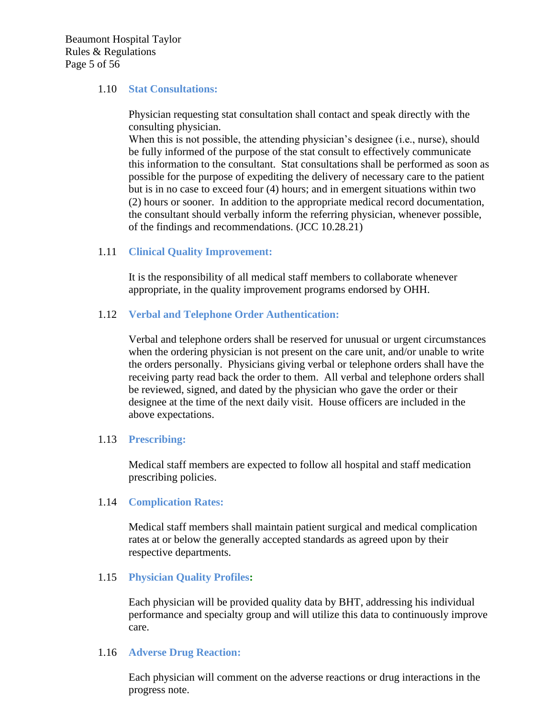Beaumont Hospital Taylor Rules & Regulations Page 5 of 56

#### 1.10 **Stat Consultations:**

Physician requesting stat consultation shall contact and speak directly with the consulting physician.

When this is not possible, the attending physician's designee (i.e., nurse), should be fully informed of the purpose of the stat consult to effectively communicate this information to the consultant. Stat consultations shall be performed as soon as possible for the purpose of expediting the delivery of necessary care to the patient but is in no case to exceed four (4) hours; and in emergent situations within two (2) hours or sooner. In addition to the appropriate medical record documentation, the consultant should verbally inform the referring physician, whenever possible, of the findings and recommendations. (JCC 10.28.21)

#### 1.11 **Clinical Quality Improvement:**

It is the responsibility of all medical staff members to collaborate whenever appropriate, in the quality improvement programs endorsed by OHH.

#### 1.12 **Verbal and Telephone Order Authentication:**

Verbal and telephone orders shall be reserved for unusual or urgent circumstances when the ordering physician is not present on the care unit, and/or unable to write the orders personally. Physicians giving verbal or telephone orders shall have the receiving party read back the order to them. All verbal and telephone orders shall be reviewed, signed, and dated by the physician who gave the order or their designee at the time of the next daily visit. House officers are included in the above expectations.

#### 1.13 **Prescribing:**

Medical staff members are expected to follow all hospital and staff medication prescribing policies.

#### 1.14 **Complication Rates:**

Medical staff members shall maintain patient surgical and medical complication rates at or below the generally accepted standards as agreed upon by their respective departments.

#### 1.15 **Physician Quality Profiles:**

Each physician will be provided quality data by BHT, addressing his individual performance and specialty group and will utilize this data to continuously improve care.

## 1.16 **Adverse Drug Reaction:**

Each physician will comment on the adverse reactions or drug interactions in the progress note.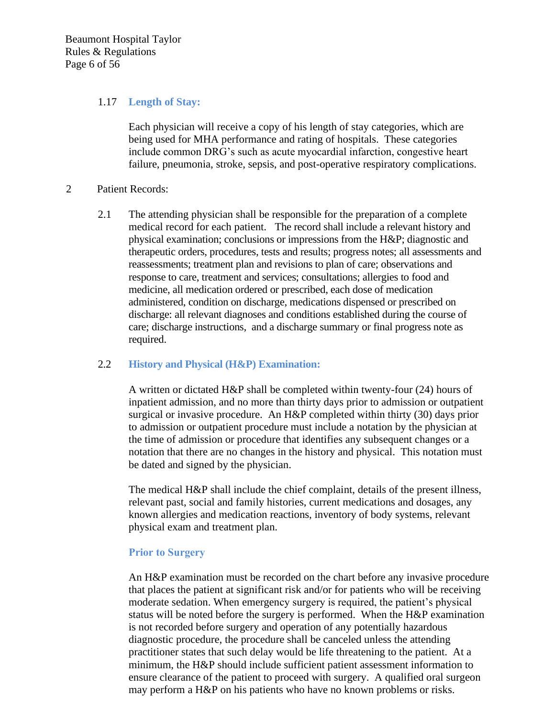Beaumont Hospital Taylor Rules & Regulations Page 6 of 56

#### 1.17 **Length of Stay:**

Each physician will receive a copy of his length of stay categories, which are being used for MHA performance and rating of hospitals. These categories include common DRG's such as acute myocardial infarction, congestive heart failure, pneumonia, stroke, sepsis, and post-operative respiratory complications.

#### 2 Patient Records:

2.1 The attending physician shall be responsible for the preparation of a complete medical record for each patient. The record shall include a relevant history and physical examination; conclusions or impressions from the H&P; diagnostic and therapeutic orders, procedures, tests and results; progress notes; all assessments and reassessments; treatment plan and revisions to plan of care; observations and response to care, treatment and services; consultations; allergies to food and medicine, all medication ordered or prescribed, each dose of medication administered, condition on discharge, medications dispensed or prescribed on discharge: all relevant diagnoses and conditions established during the course of care; discharge instructions, and a discharge summary or final progress note as required.

#### 2.2 **History and Physical (H&P) Examination:**

A written or dictated H&P shall be completed within twenty-four (24) hours of inpatient admission, and no more than thirty days prior to admission or outpatient surgical or invasive procedure. An H&P completed within thirty (30) days prior to admission or outpatient procedure must include a notation by the physician at the time of admission or procedure that identifies any subsequent changes or a notation that there are no changes in the history and physical. This notation must be dated and signed by the physician.

The medical H&P shall include the chief complaint, details of the present illness, relevant past, social and family histories, current medications and dosages, any known allergies and medication reactions, inventory of body systems, relevant physical exam and treatment plan.

#### **Prior to Surgery**

An H&P examination must be recorded on the chart before any invasive procedure that places the patient at significant risk and/or for patients who will be receiving moderate sedation. When emergency surgery is required, the patient's physical status will be noted before the surgery is performed. When the H&P examination is not recorded before surgery and operation of any potentially hazardous diagnostic procedure, the procedure shall be canceled unless the attending practitioner states that such delay would be life threatening to the patient. At a minimum, the H&P should include sufficient patient assessment information to ensure clearance of the patient to proceed with surgery. A qualified oral surgeon may perform a H&P on his patients who have no known problems or risks.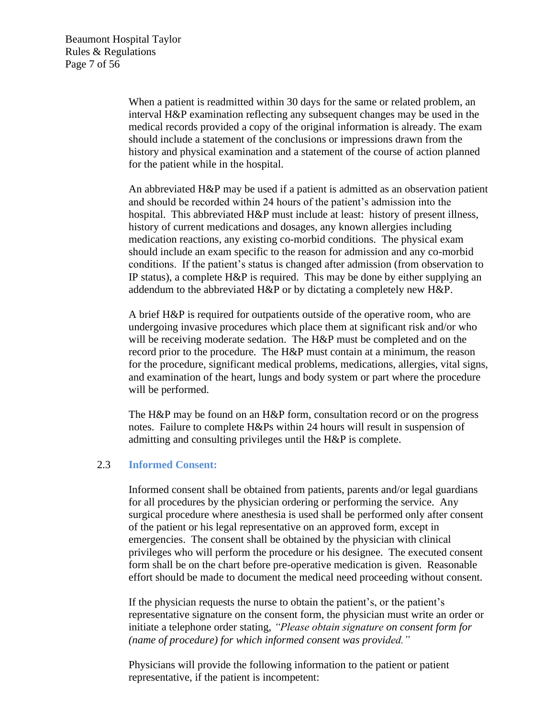Beaumont Hospital Taylor Rules & Regulations Page 7 of 56

> When a patient is readmitted within 30 days for the same or related problem, an interval H&P examination reflecting any subsequent changes may be used in the medical records provided a copy of the original information is already. The exam should include a statement of the conclusions or impressions drawn from the history and physical examination and a statement of the course of action planned for the patient while in the hospital.

An abbreviated H&P may be used if a patient is admitted as an observation patient and should be recorded within 24 hours of the patient's admission into the hospital. This abbreviated H&P must include at least: history of present illness, history of current medications and dosages, any known allergies including medication reactions, any existing co-morbid conditions. The physical exam should include an exam specific to the reason for admission and any co-morbid conditions. If the patient's status is changed after admission (from observation to IP status), a complete H&P is required. This may be done by either supplying an addendum to the abbreviated H&P or by dictating a completely new H&P.

A brief H&P is required for outpatients outside of the operative room, who are undergoing invasive procedures which place them at significant risk and/or who will be receiving moderate sedation. The H&P must be completed and on the record prior to the procedure. The H&P must contain at a minimum, the reason for the procedure, significant medical problems, medications, allergies, vital signs, and examination of the heart, lungs and body system or part where the procedure will be performed.

The H&P may be found on an H&P form, consultation record or on the progress notes. Failure to complete H&Ps within 24 hours will result in suspension of admitting and consulting privileges until the H&P is complete.

#### 2.3 **Informed Consent:**

Informed consent shall be obtained from patients, parents and/or legal guardians for all procedures by the physician ordering or performing the service. Any surgical procedure where anesthesia is used shall be performed only after consent of the patient or his legal representative on an approved form, except in emergencies. The consent shall be obtained by the physician with clinical privileges who will perform the procedure or his designee. The executed consent form shall be on the chart before pre-operative medication is given. Reasonable effort should be made to document the medical need proceeding without consent.

If the physician requests the nurse to obtain the patient's, or the patient's representative signature on the consent form, the physician must write an order or initiate a telephone order stating, *"Please obtain signature on consent form for (name of procedure) for which informed consent was provided."*

Physicians will provide the following information to the patient or patient representative, if the patient is incompetent: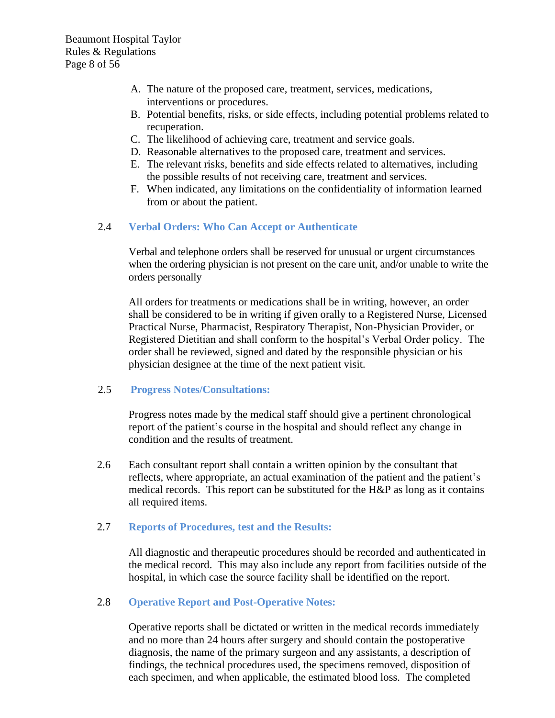- A. The nature of the proposed care, treatment, services, medications, interventions or procedures.
- B. Potential benefits, risks, or side effects, including potential problems related to recuperation.
- C. The likelihood of achieving care, treatment and service goals.
- D. Reasonable alternatives to the proposed care, treatment and services.
- E. The relevant risks, benefits and side effects related to alternatives, including the possible results of not receiving care, treatment and services.
- F. When indicated, any limitations on the confidentiality of information learned from or about the patient.

## 2.4 **Verbal Orders: Who Can Accept or Authenticate**

Verbal and telephone orders shall be reserved for unusual or urgent circumstances when the ordering physician is not present on the care unit, and/or unable to write the orders personally

All orders for treatments or medications shall be in writing, however, an order shall be considered to be in writing if given orally to a Registered Nurse, Licensed Practical Nurse, Pharmacist, Respiratory Therapist, Non-Physician Provider, or Registered Dietitian and shall conform to the hospital's Verbal Order policy. The order shall be reviewed, signed and dated by the responsible physician or his physician designee at the time of the next patient visit.

#### 2.5 **Progress Notes/Consultations:**

Progress notes made by the medical staff should give a pertinent chronological report of the patient's course in the hospital and should reflect any change in condition and the results of treatment.

2.6 Each consultant report shall contain a written opinion by the consultant that reflects, where appropriate, an actual examination of the patient and the patient's medical records. This report can be substituted for the H&P as long as it contains all required items.

#### 2.7 **Reports of Procedures, test and the Results:**

All diagnostic and therapeutic procedures should be recorded and authenticated in the medical record. This may also include any report from facilities outside of the hospital, in which case the source facility shall be identified on the report.

#### 2.8 **Operative Report and Post-Operative Notes:**

Operative reports shall be dictated or written in the medical records immediately and no more than 24 hours after surgery and should contain the postoperative diagnosis, the name of the primary surgeon and any assistants, a description of findings, the technical procedures used, the specimens removed, disposition of each specimen, and when applicable, the estimated blood loss. The completed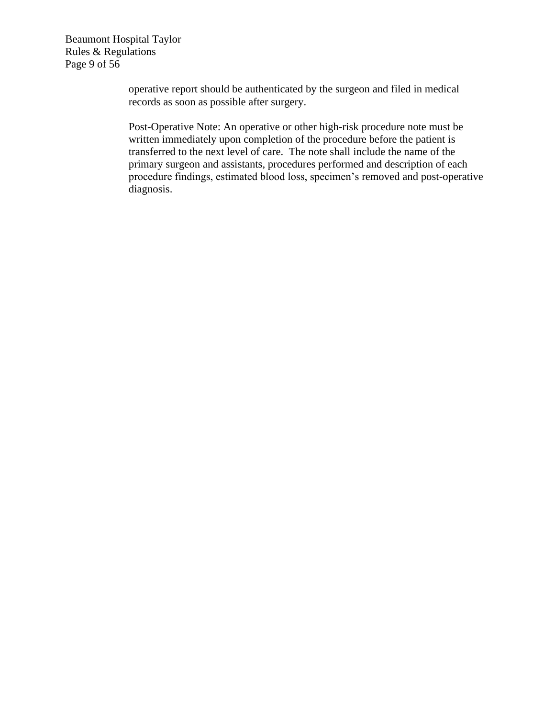Beaumont Hospital Taylor Rules & Regulations Page 9 of 56

> operative report should be authenticated by the surgeon and filed in medical records as soon as possible after surgery.

Post-Operative Note: An operative or other high-risk procedure note must be written immediately upon completion of the procedure before the patient is transferred to the next level of care. The note shall include the name of the primary surgeon and assistants, procedures performed and description of each procedure findings, estimated blood loss, specimen's removed and post-operative diagnosis.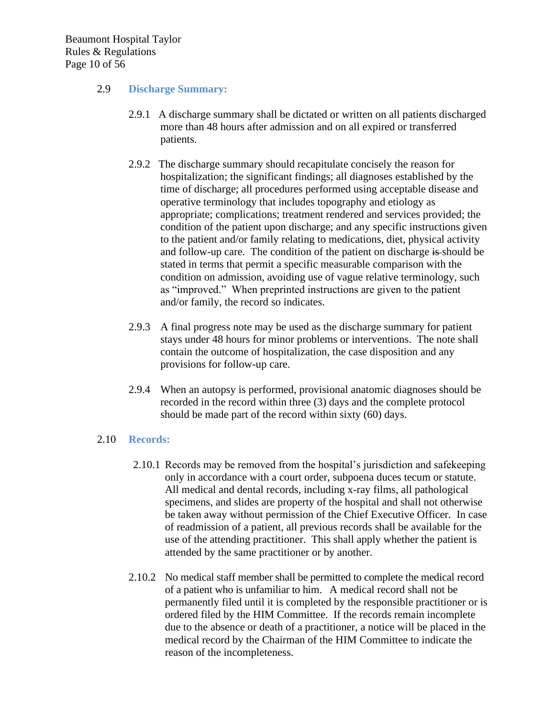Beaumont Hospital Taylor Rules & Regulations Page 10 of 56

## 2.9 **Discharge Summary:**

- 2.9.1 A discharge summary shall be dictated or written on all patients discharged more than 48 hours after admission and on all expired or transferred patients.
- 2.9.2 The discharge summary should recapitulate concisely the reason for hospitalization; the significant findings; all diagnoses established by the time of discharge; all procedures performed using acceptable disease and operative terminology that includes topography and etiology as appropriate; complications; treatment rendered and services provided; the condition of the patient upon discharge; and any specific instructions given to the patient and/or family relating to medications, diet, physical activity and follow-up care. The condition of the patient on discharge is should be stated in terms that permit a specific measurable comparison with the condition on admission, avoiding use of vague relative terminology, such as "improved." When preprinted instructions are given to the patient and/or family, the record so indicates.
- 2.9.3 A final progress note may be used as the discharge summary for patient stays under 48 hours for minor problems or interventions. The note shall contain the outcome of hospitalization, the case disposition and any provisions for follow-up care.
- 2.9.4 When an autopsy is performed, provisional anatomic diagnoses should be recorded in the record within three (3) days and the complete protocol should be made part of the record within sixty (60) days.

#### 2.10 **Records:**

- 2.10.1 Records may be removed from the hospital's jurisdiction and safekeeping only in accordance with a court order, subpoena duces tecum or statute. All medical and dental records, including x-ray films, all pathological specimens, and slides are property of the hospital and shall not otherwise be taken away without permission of the Chief Executive Officer. In case of readmission of a patient, all previous records shall be available for the use of the attending practitioner. This shall apply whether the patient is attended by the same practitioner or by another.
- 2.10.2 No medical staff member shall be permitted to complete the medical record of a patient who is unfamiliar to him. A medical record shall not be permanently filed until it is completed by the responsible practitioner or is ordered filed by the HIM Committee. If the records remain incomplete due to the absence or death of a practitioner, a notice will be placed in the medical record by the Chairman of the HIM Committee to indicate the reason of the incompleteness.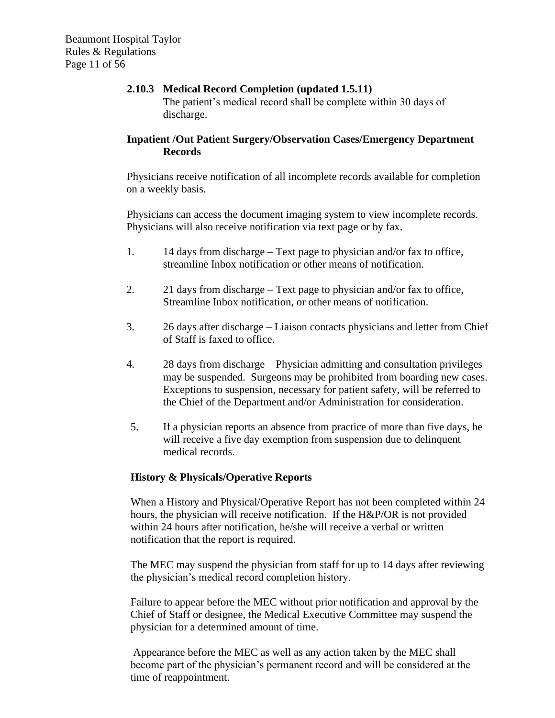## **2.10.3 Medical Record Completion (updated 1.5.11)** The patient's medical record shall be complete within 30 days of discharge.

# **Inpatient /Out Patient Surgery/Observation Cases/Emergency Department Records**

Physicians receive notification of all incomplete records available for completion on a weekly basis.

Physicians can access the document imaging system to view incomplete records. Physicians will also receive notification via text page or by fax.

- 1. 14 days from discharge Text page to physician and/or fax to office, streamline Inbox notification or other means of notification.
- 2. 21 days from discharge Text page to physician and/or fax to office, Streamline Inbox notification, or other means of notification.
- 3. 26 days after discharge Liaison contacts physicians and letter from Chief of Staff is faxed to office.
- 4. 28 days from discharge Physician admitting and consultation privileges may be suspended. Surgeons may be prohibited from boarding new cases. Exceptions to suspension, necessary for patient safety, will be referred to the Chief of the Department and/or Administration for consideration.
- 5. If a physician reports an absence from practice of more than five days, he will receive a five day exemption from suspension due to delinquent medical records.

# **History & Physicals/Operative Reports**

When a History and Physical/Operative Report has not been completed within 24 hours, the physician will receive notification. If the H&P/OR is not provided within 24 hours after notification, he/she will receive a verbal or written notification that the report is required.

The MEC may suspend the physician from staff for up to 14 days after reviewing the physician's medical record completion history.

Failure to appear before the MEC without prior notification and approval by the Chief of Staff or designee, the Medical Executive Committee may suspend the physician for a determined amount of time.

Appearance before the MEC as well as any action taken by the MEC shall become part of the physician's permanent record and will be considered at the time of reappointment.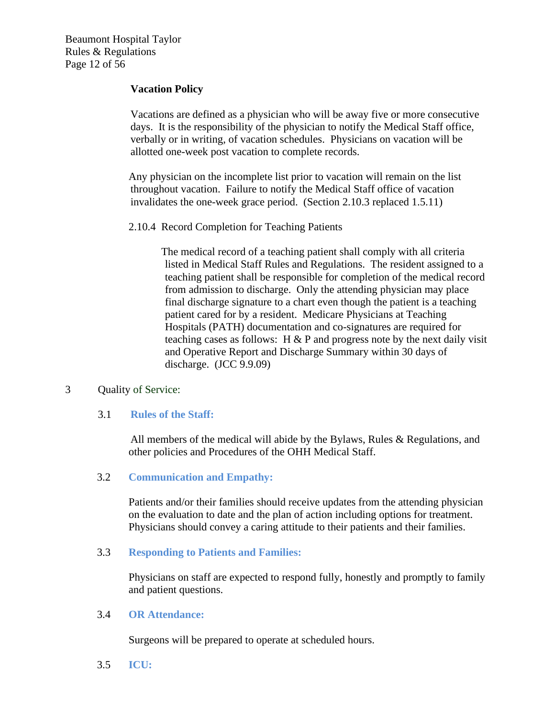Beaumont Hospital Taylor Rules & Regulations Page 12 of 56

## **Vacation Policy**

Vacations are defined as a physician who will be away five or more consecutive days. It is the responsibility of the physician to notify the Medical Staff office, verbally or in writing, of vacation schedules. Physicians on vacation will be allotted one-week post vacation to complete records.

Any physician on the incomplete list prior to vacation will remain on the list throughout vacation. Failure to notify the Medical Staff office of vacation invalidates the one-week grace period. (Section 2.10.3 replaced 1.5.11)

2.10.4 Record Completion for Teaching Patients

The medical record of a teaching patient shall comply with all criteria listed in Medical Staff Rules and Regulations. The resident assigned to a teaching patient shall be responsible for completion of the medical record from admission to discharge. Only the attending physician may place final discharge signature to a chart even though the patient is a teaching patient cared for by a resident. Medicare Physicians at Teaching Hospitals (PATH) documentation and co-signatures are required for teaching cases as follows:  $H \& P$  and progress note by the next daily visit and Operative Report and Discharge Summary within 30 days of discharge. (JCC 9.9.09)

#### 3 Quality of Service:

#### 3.1 **Rules of the Staff:**

All members of the medical will abide by the Bylaws, Rules & Regulations, and other policies and Procedures of the OHH Medical Staff.

#### 3.2 **Communication and Empathy:**

Patients and/or their families should receive updates from the attending physician on the evaluation to date and the plan of action including options for treatment. Physicians should convey a caring attitude to their patients and their families.

#### 3.3 **Responding to Patients and Families:**

Physicians on staff are expected to respond fully, honestly and promptly to family and patient questions.

#### 3.4 **OR Attendance:**

Surgeons will be prepared to operate at scheduled hours.

3.5 **ICU:**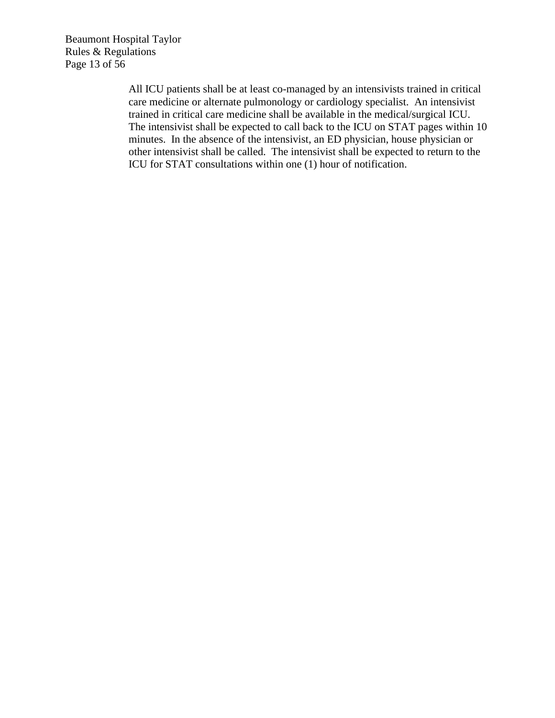Beaumont Hospital Taylor Rules & Regulations Page 13 of 56

> All ICU patients shall be at least co-managed by an intensivists trained in critical care medicine or alternate pulmonology or cardiology specialist. An intensivist trained in critical care medicine shall be available in the medical/surgical ICU. The intensivist shall be expected to call back to the ICU on STAT pages within 10 minutes. In the absence of the intensivist, an ED physician, house physician or other intensivist shall be called. The intensivist shall be expected to return to the ICU for STAT consultations within one (1) hour of notification.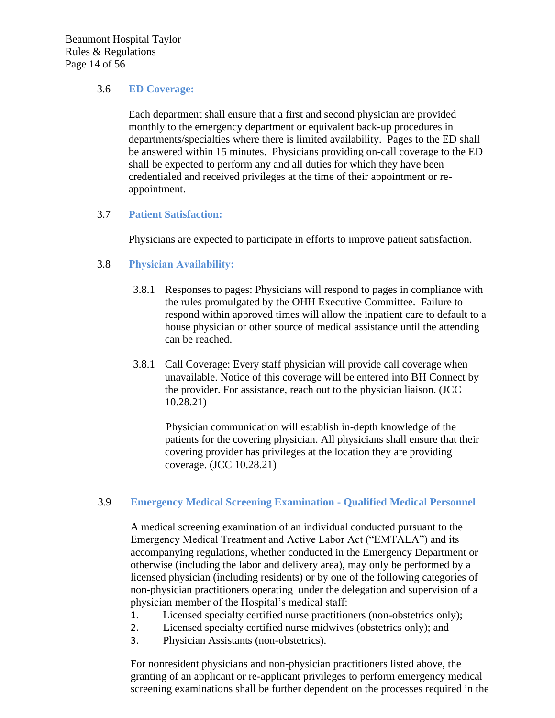Beaumont Hospital Taylor Rules & Regulations Page 14 of 56

## 3.6 **ED Coverage:**

Each department shall ensure that a first and second physician are provided monthly to the emergency department or equivalent back-up procedures in departments/specialties where there is limited availability. Pages to the ED shall be answered within 15 minutes. Physicians providing on-call coverage to the ED shall be expected to perform any and all duties for which they have been credentialed and received privileges at the time of their appointment or reappointment.

# 3.7 **Patient Satisfaction:**

Physicians are expected to participate in efforts to improve patient satisfaction.

# 3.8 **Physician Availability:**

- 3.8.1 Responses to pages: Physicians will respond to pages in compliance with the rules promulgated by the OHH Executive Committee. Failure to respond within approved times will allow the inpatient care to default to a house physician or other source of medical assistance until the attending can be reached.
- 3.8.1 Call Coverage: Every staff physician will provide call coverage when unavailable. Notice of this coverage will be entered into BH Connect by the provider. For assistance, reach out to the physician liaison. (JCC 10.28.21)

Physician communication will establish in-depth knowledge of the patients for the covering physician. All physicians shall ensure that their covering provider has privileges at the location they are providing coverage. (JCC 10.28.21)

# 3.9 **Emergency Medical Screening Examination - Qualified Medical Personnel**

A medical screening examination of an individual conducted pursuant to the Emergency Medical Treatment and Active Labor Act ("EMTALA") and its accompanying regulations, whether conducted in the Emergency Department or otherwise (including the labor and delivery area), may only be performed by a licensed physician (including residents) or by one of the following categories of non-physician practitioners operating under the delegation and supervision of a physician member of the Hospital's medical staff:

- 1. Licensed specialty certified nurse practitioners (non-obstetrics only);
- 2. Licensed specialty certified nurse midwives (obstetrics only); and
- 3. Physician Assistants (non-obstetrics).

For nonresident physicians and non-physician practitioners listed above, the granting of an applicant or re-applicant privileges to perform emergency medical screening examinations shall be further dependent on the processes required in the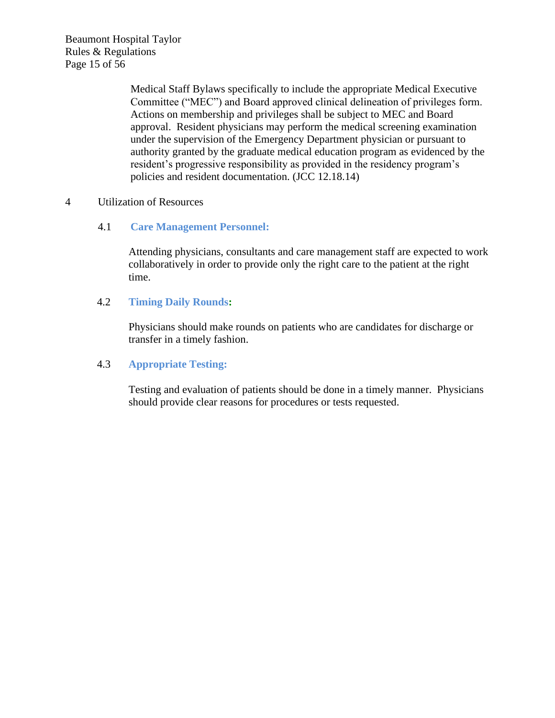Beaumont Hospital Taylor Rules & Regulations Page 15 of 56

> Medical Staff Bylaws specifically to include the appropriate Medical Executive Committee ("MEC") and Board approved clinical delineation of privileges form. Actions on membership and privileges shall be subject to MEC and Board approval. Resident physicians may perform the medical screening examination under the supervision of the Emergency Department physician or pursuant to authority granted by the graduate medical education program as evidenced by the resident's progressive responsibility as provided in the residency program's policies and resident documentation. (JCC 12.18.14)

## 4 Utilization of Resources

# 4.1 **Care Management Personnel:**

Attending physicians, consultants and care management staff are expected to work collaboratively in order to provide only the right care to the patient at the right time.

## 4.2 **Timing Daily Rounds:**

Physicians should make rounds on patients who are candidates for discharge or transfer in a timely fashion.

# 4.3 **Appropriate Testing:**

Testing and evaluation of patients should be done in a timely manner. Physicians should provide clear reasons for procedures or tests requested.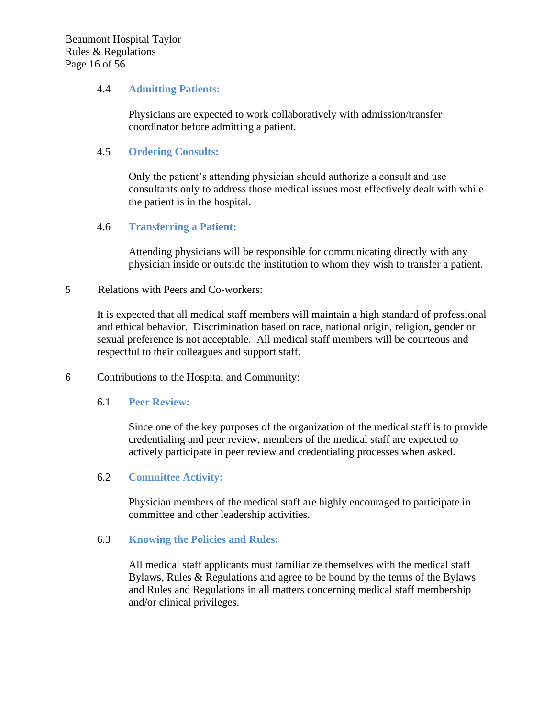## 4.4 **Admitting Patients:**

Physicians are expected to work collaboratively with admission/transfer coordinator before admitting a patient.

## 4.5 **Ordering Consults:**

Only the patient's attending physician should authorize a consult and use consultants only to address those medical issues most effectively dealt with while the patient is in the hospital.

## 4.6 **Transferring a Patient:**

Attending physicians will be responsible for communicating directly with any physician inside or outside the institution to whom they wish to transfer a patient.

#### 5 Relations with Peers and Co-workers:

It is expected that all medical staff members will maintain a high standard of professional and ethical behavior. Discrimination based on race, national origin, religion, gender or sexual preference is not acceptable. All medical staff members will be courteous and respectful to their colleagues and support staff.

6 Contributions to the Hospital and Community:

#### 6.1 **Peer Review:**

Since one of the key purposes of the organization of the medical staff is to provide credentialing and peer review, members of the medical staff are expected to actively participate in peer review and credentialing processes when asked.

# 6.2 **Committee Activity:**

Physician members of the medical staff are highly encouraged to participate in committee and other leadership activities.

#### 6.3 **Knowing the Policies and Rules:**

All medical staff applicants must familiarize themselves with the medical staff Bylaws, Rules & Regulations and agree to be bound by the terms of the Bylaws and Rules and Regulations in all matters concerning medical staff membership and/or clinical privileges.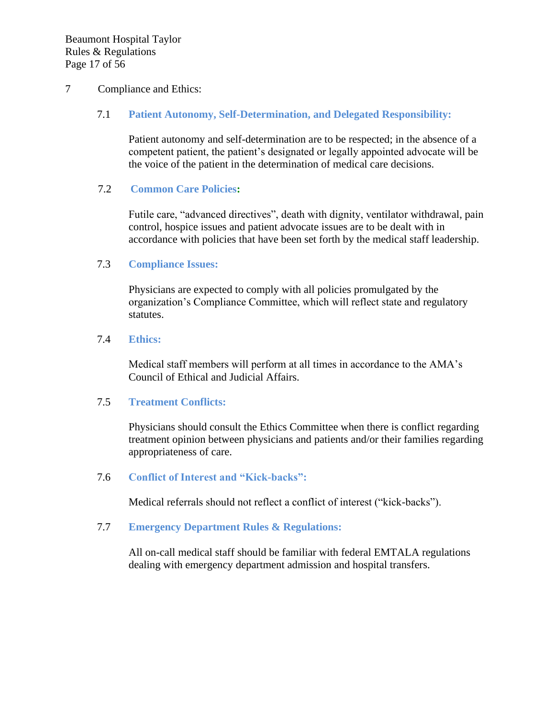#### 7 Compliance and Ethics:

#### 7.1 **Patient Autonomy, Self-Determination, and Delegated Responsibility:**

Patient autonomy and self-determination are to be respected; in the absence of a competent patient, the patient's designated or legally appointed advocate will be the voice of the patient in the determination of medical care decisions.

#### 7.2 **Common Care Policies:**

Futile care, "advanced directives", death with dignity, ventilator withdrawal, pain control, hospice issues and patient advocate issues are to be dealt with in accordance with policies that have been set forth by the medical staff leadership.

#### 7.3 **Compliance Issues:**

Physicians are expected to comply with all policies promulgated by the organization's Compliance Committee, which will reflect state and regulatory statutes.

#### 7.4 **Ethics:**

Medical staff members will perform at all times in accordance to the AMA's Council of Ethical and Judicial Affairs.

#### 7.5 **Treatment Conflicts:**

Physicians should consult the Ethics Committee when there is conflict regarding treatment opinion between physicians and patients and/or their families regarding appropriateness of care.

#### 7.6 **Conflict of Interest and "Kick-backs":**

Medical referrals should not reflect a conflict of interest ("kick-backs").

#### 7.7 **Emergency Department Rules & Regulations:**

All on-call medical staff should be familiar with federal EMTALA regulations dealing with emergency department admission and hospital transfers.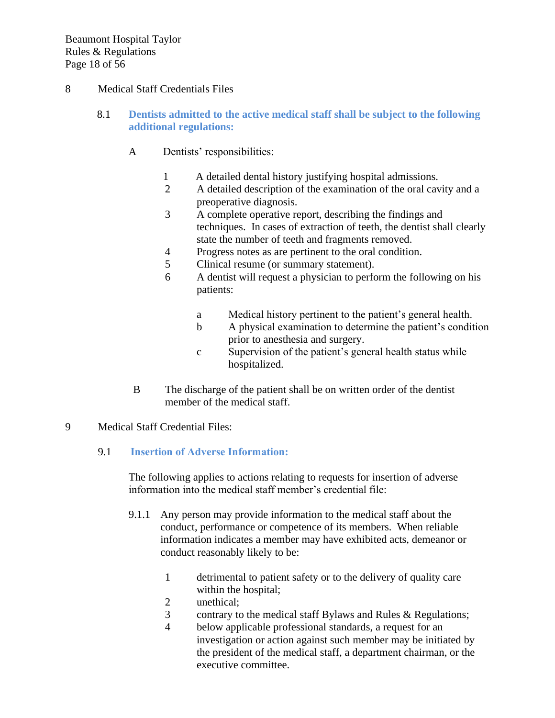# 8 Medical Staff Credentials Files

- 8.1 **Dentists admitted to the active medical staff shall be subject to the following additional regulations:**
	- A Dentists' responsibilities:
		- 1 A detailed dental history justifying hospital admissions.
		- 2 A detailed description of the examination of the oral cavity and a preoperative diagnosis.
		- 3 A complete operative report, describing the findings and techniques. In cases of extraction of teeth, the dentist shall clearly state the number of teeth and fragments removed.
		- 4 Progress notes as are pertinent to the oral condition.
		- 5 Clinical resume (or summary statement).
		- 6 A dentist will request a physician to perform the following on his patients:
			- a Medical history pertinent to the patient's general health.
			- b A physical examination to determine the patient's condition prior to anesthesia and surgery.
			- c Supervision of the patient's general health status while hospitalized.
	- B The discharge of the patient shall be on written order of the dentist member of the medical staff.

# 9 Medical Staff Credential Files:

# 9.1 **Insertion of Adverse Information:**

The following applies to actions relating to requests for insertion of adverse information into the medical staff member's credential file:

- 9.1.1 Any person may provide information to the medical staff about the conduct, performance or competence of its members. When reliable information indicates a member may have exhibited acts, demeanor or conduct reasonably likely to be:
	- 1 detrimental to patient safety or to the delivery of quality care within the hospital;
	- 2 unethical;
	- 3 contrary to the medical staff Bylaws and Rules & Regulations;
	- 4 below applicable professional standards, a request for an investigation or action against such member may be initiated by the president of the medical staff, a department chairman, or the executive committee.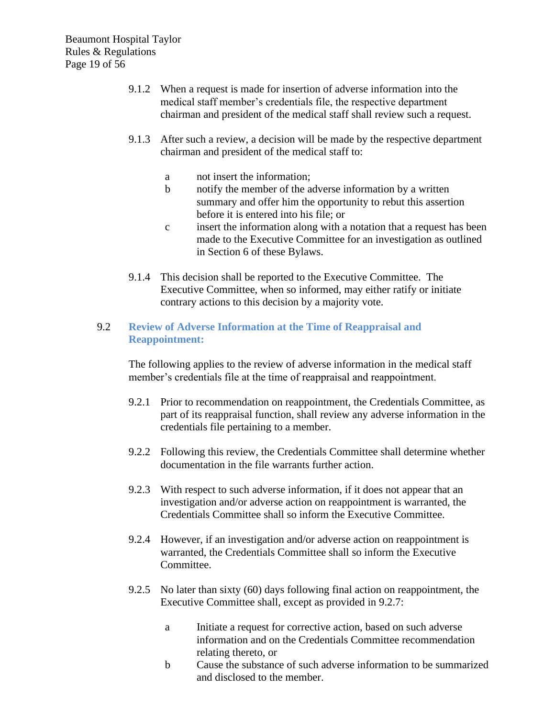Beaumont Hospital Taylor Rules & Regulations Page 19 of 56

- 9.1.2 When a request is made for insertion of adverse information into the medical staff member's credentials file, the respective department chairman and president of the medical staff shall review such a request.
- 9.1.3 After such a review, a decision will be made by the respective department chairman and president of the medical staff to:
	- a not insert the information;
	- b notify the member of the adverse information by a written summary and offer him the opportunity to rebut this assertion before it is entered into his file; or
	- c insert the information along with a notation that a request has been made to the Executive Committee for an investigation as outlined in Section 6 of these Bylaws.
- 9.1.4 This decision shall be reported to the Executive Committee. The Executive Committee, when so informed, may either ratify or initiate contrary actions to this decision by a majority vote.

# 9.2 **Review of Adverse Information at the Time of Reappraisal and Reappointment:**

The following applies to the review of adverse information in the medical staff member's credentials file at the time of reappraisal and reappointment.

- 9.2.1 Prior to recommendation on reappointment, the Credentials Committee, as part of its reappraisal function, shall review any adverse information in the credentials file pertaining to a member.
- 9.2.2 Following this review, the Credentials Committee shall determine whether documentation in the file warrants further action.
- 9.2.3 With respect to such adverse information, if it does not appear that an investigation and/or adverse action on reappointment is warranted, the Credentials Committee shall so inform the Executive Committee.
- 9.2.4 However, if an investigation and/or adverse action on reappointment is warranted, the Credentials Committee shall so inform the Executive Committee.
- 9.2.5 No later than sixty (60) days following final action on reappointment, the Executive Committee shall, except as provided in 9.2.7:
	- a Initiate a request for corrective action, based on such adverse information and on the Credentials Committee recommendation relating thereto, or
	- b Cause the substance of such adverse information to be summarized and disclosed to the member.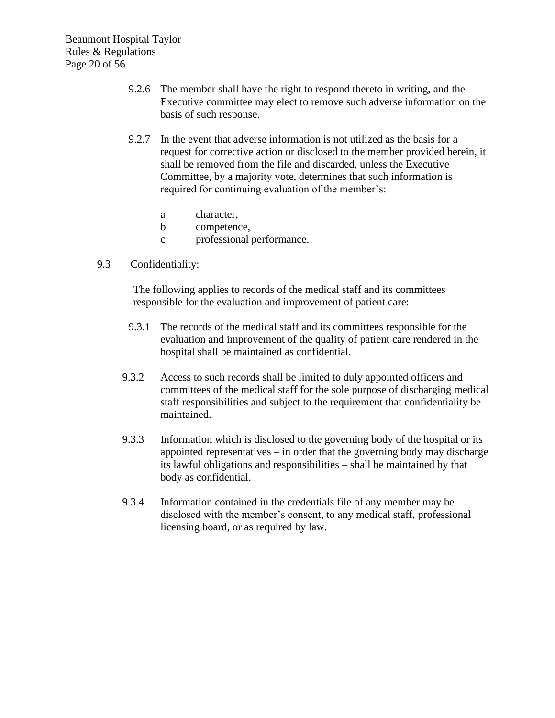Beaumont Hospital Taylor Rules & Regulations Page 20 of 56

- 9.2.6 The member shall have the right to respond thereto in writing, and the Executive committee may elect to remove such adverse information on the basis of such response.
- 9.2.7 In the event that adverse information is not utilized as the basis for a request for corrective action or disclosed to the member provided herein, it shall be removed from the file and discarded, unless the Executive Committee, by a majority vote, determines that such information is required for continuing evaluation of the member's:
	- a character,
	- b competence,
	- c professional performance.
- 9.3 Confidentiality:

The following applies to records of the medical staff and its committees responsible for the evaluation and improvement of patient care:

- 9.3.1 The records of the medical staff and its committees responsible for the evaluation and improvement of the quality of patient care rendered in the hospital shall be maintained as confidential.
- 9.3.2 Access to such records shall be limited to duly appointed officers and committees of the medical staff for the sole purpose of discharging medical staff responsibilities and subject to the requirement that confidentiality be maintained.
- 9.3.3 Information which is disclosed to the governing body of the hospital or its appointed representatives – in order that the governing body may discharge its lawful obligations and responsibilities – shall be maintained by that body as confidential.
- 9.3.4 Information contained in the credentials file of any member may be disclosed with the member's consent, to any medical staff, professional licensing board, or as required by law.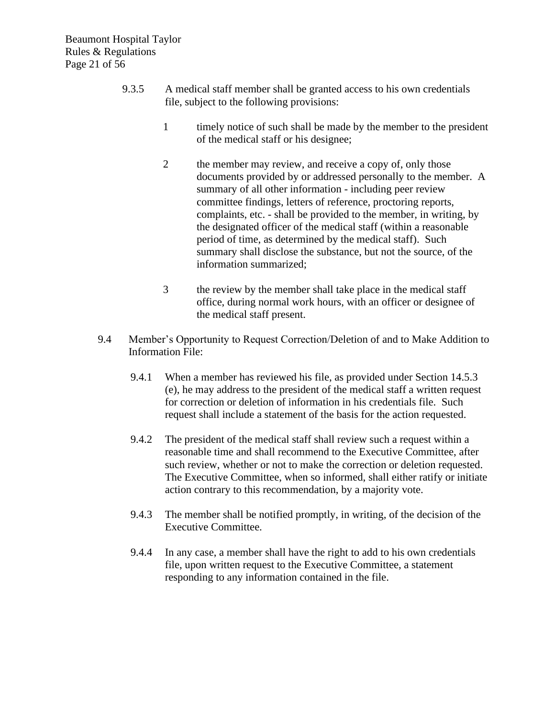- 9.3.5 A medical staff member shall be granted access to his own credentials file, subject to the following provisions:
	- 1 timely notice of such shall be made by the member to the president of the medical staff or his designee;
	- 2 the member may review, and receive a copy of, only those documents provided by or addressed personally to the member. A summary of all other information - including peer review committee findings, letters of reference, proctoring reports, complaints, etc. - shall be provided to the member, in writing, by the designated officer of the medical staff (within a reasonable period of time, as determined by the medical staff). Such summary shall disclose the substance, but not the source, of the information summarized;
	- 3 the review by the member shall take place in the medical staff office, during normal work hours, with an officer or designee of the medical staff present.
- 9.4 Member's Opportunity to Request Correction/Deletion of and to Make Addition to Information File:
	- 9.4.1 When a member has reviewed his file, as provided under Section 14.5.3 (e), he may address to the president of the medical staff a written request for correction or deletion of information in his credentials file. Such request shall include a statement of the basis for the action requested.
	- 9.4.2 The president of the medical staff shall review such a request within a reasonable time and shall recommend to the Executive Committee, after such review, whether or not to make the correction or deletion requested. The Executive Committee, when so informed, shall either ratify or initiate action contrary to this recommendation, by a majority vote.
	- 9.4.3 The member shall be notified promptly, in writing, of the decision of the Executive Committee.
	- 9.4.4 In any case, a member shall have the right to add to his own credentials file, upon written request to the Executive Committee, a statement responding to any information contained in the file.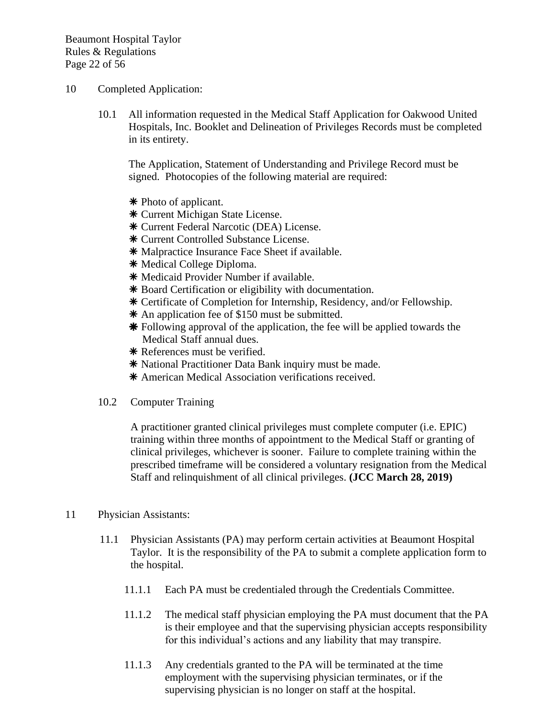Beaumont Hospital Taylor Rules & Regulations Page 22 of 56

- 10 Completed Application:
	- 10.1 All information requested in the Medical Staff Application for Oakwood United Hospitals, Inc. Booklet and Delineation of Privileges Records must be completed in its entirety.

The Application, Statement of Understanding and Privilege Record must be signed. Photocopies of the following material are required:

- Photo of applicant.
- Current Michigan State License.
- Current Federal Narcotic (DEA) License.
- Current Controlled Substance License.
- \* Malpractice Insurance Face Sheet if available.
- \* Medical College Diploma.
- \* Medicaid Provider Number if available.
- \* Board Certification or eligibility with documentation.
- Certificate of Completion for Internship, Residency, and/or Fellowship.
- \* An application fee of \$150 must be submitted.
- Following approval of the application, the fee will be applied towards the Medical Staff annual dues.
- \* References must be verified.
- \* National Practitioner Data Bank inquiry must be made.
- American Medical Association verifications received.
- 10.2 Computer Training

A practitioner granted clinical privileges must complete computer (i.e. EPIC) training within three months of appointment to the Medical Staff or granting of clinical privileges, whichever is sooner. Failure to complete training within the prescribed timeframe will be considered a voluntary resignation from the Medical Staff and relinquishment of all clinical privileges. **(JCC March 28, 2019)**

- 11 Physician Assistants:
	- 11.1 Physician Assistants (PA) may perform certain activities at Beaumont Hospital Taylor. It is the responsibility of the PA to submit a complete application form to the hospital.
		- 11.1.1 Each PA must be credentialed through the Credentials Committee.
		- 11.1.2 The medical staff physician employing the PA must document that the PA is their employee and that the supervising physician accepts responsibility for this individual's actions and any liability that may transpire.
		- 11.1.3 Any credentials granted to the PA will be terminated at the time employment with the supervising physician terminates, or if the supervising physician is no longer on staff at the hospital.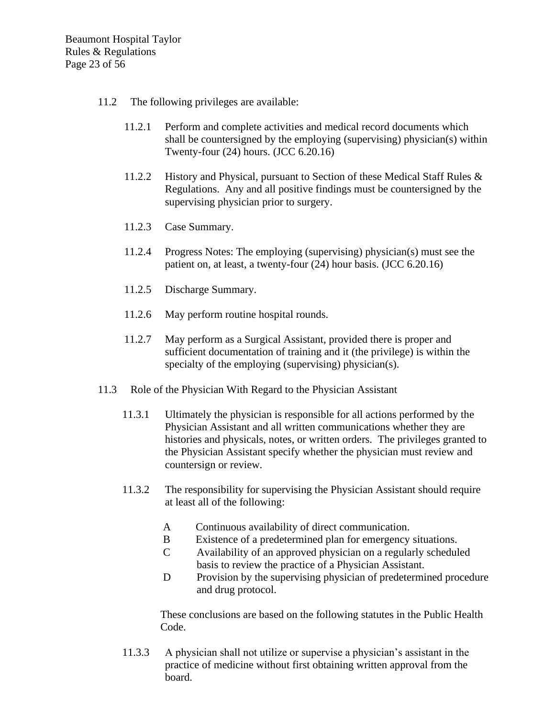Beaumont Hospital Taylor Rules & Regulations Page 23 of 56

- 11.2 The following privileges are available:
	- 11.2.1 Perform and complete activities and medical record documents which shall be countersigned by the employing (supervising) physician(s) within Twenty-four (24) hours. (JCC 6.20.16)
	- 11.2.2 History and Physical, pursuant to Section of these Medical Staff Rules & Regulations. Any and all positive findings must be countersigned by the supervising physician prior to surgery.
	- 11.2.3 Case Summary.
	- 11.2.4 Progress Notes: The employing (supervising) physician(s) must see the patient on, at least, a twenty-four (24) hour basis. (JCC 6.20.16)
	- 11.2.5 Discharge Summary.
	- 11.2.6 May perform routine hospital rounds.
	- 11.2.7 May perform as a Surgical Assistant, provided there is proper and sufficient documentation of training and it (the privilege) is within the specialty of the employing (supervising) physician(s).
- 11.3 Role of the Physician With Regard to the Physician Assistant
	- 11.3.1 Ultimately the physician is responsible for all actions performed by the Physician Assistant and all written communications whether they are histories and physicals, notes, or written orders. The privileges granted to the Physician Assistant specify whether the physician must review and countersign or review.
	- 11.3.2 The responsibility for supervising the Physician Assistant should require at least all of the following:
		- A Continuous availability of direct communication.
		- B Existence of a predetermined plan for emergency situations.
		- C Availability of an approved physician on a regularly scheduled basis to review the practice of a Physician Assistant.
		- D Provision by the supervising physician of predetermined procedure and drug protocol.

These conclusions are based on the following statutes in the Public Health Code.

11.3.3 A physician shall not utilize or supervise a physician's assistant in the practice of medicine without first obtaining written approval from the board.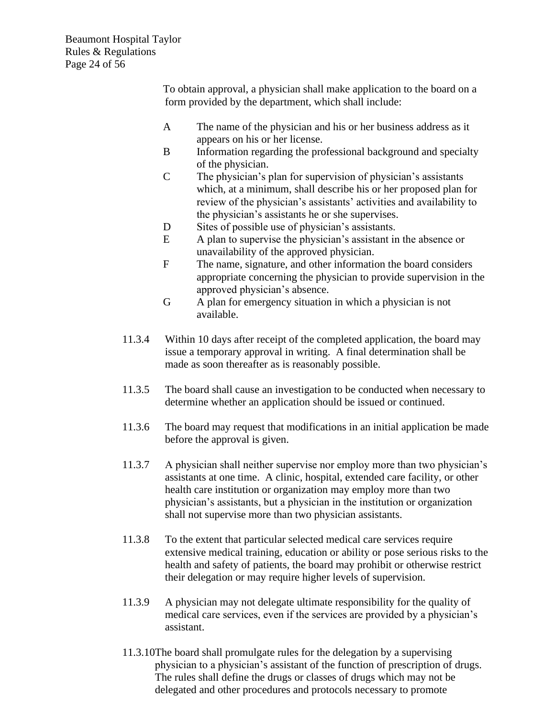Beaumont Hospital Taylor Rules & Regulations Page 24 of 56

> To obtain approval, a physician shall make application to the board on a form provided by the department, which shall include:

- A The name of the physician and his or her business address as it appears on his or her license.
- B Information regarding the professional background and specialty of the physician.
- C The physician's plan for supervision of physician's assistants which, at a minimum, shall describe his or her proposed plan for review of the physician's assistants' activities and availability to the physician's assistants he or she supervises.
- D Sites of possible use of physician's assistants.
- E A plan to supervise the physician's assistant in the absence or unavailability of the approved physician.
- F The name, signature, and other information the board considers appropriate concerning the physician to provide supervision in the approved physician's absence.
- G A plan for emergency situation in which a physician is not available.
- 11.3.4 Within 10 days after receipt of the completed application, the board may issue a temporary approval in writing. A final determination shall be made as soon thereafter as is reasonably possible.
- 11.3.5 The board shall cause an investigation to be conducted when necessary to determine whether an application should be issued or continued.
- 11.3.6 The board may request that modifications in an initial application be made before the approval is given.
- 11.3.7 A physician shall neither supervise nor employ more than two physician's assistants at one time. A clinic, hospital, extended care facility, or other health care institution or organization may employ more than two physician's assistants, but a physician in the institution or organization shall not supervise more than two physician assistants.
- 11.3.8 To the extent that particular selected medical care services require extensive medical training, education or ability or pose serious risks to the health and safety of patients, the board may prohibit or otherwise restrict their delegation or may require higher levels of supervision.
- 11.3.9 A physician may not delegate ultimate responsibility for the quality of medical care services, even if the services are provided by a physician's assistant.
- 11.3.10The board shall promulgate rules for the delegation by a supervising physician to a physician's assistant of the function of prescription of drugs. The rules shall define the drugs or classes of drugs which may not be delegated and other procedures and protocols necessary to promote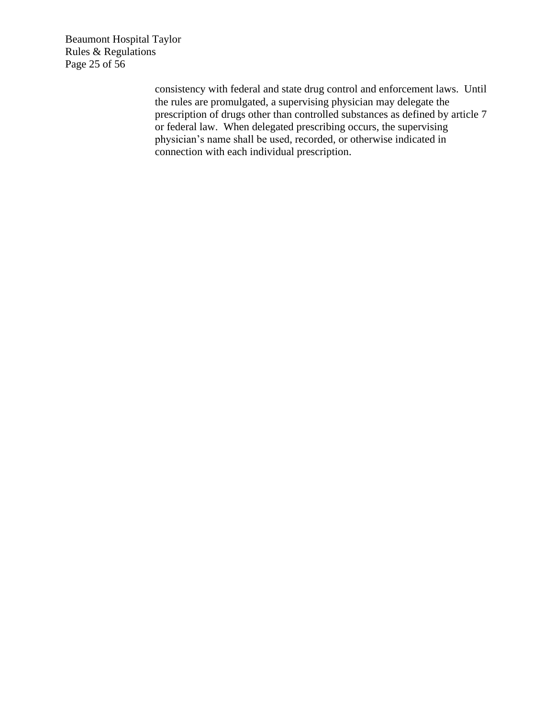Beaumont Hospital Taylor Rules & Regulations Page 25 of 56

> consistency with federal and state drug control and enforcement laws. Until the rules are promulgated, a supervising physician may delegate the prescription of drugs other than controlled substances as defined by article 7 or federal law. When delegated prescribing occurs, the supervising physician's name shall be used, recorded, or otherwise indicated in connection with each individual prescription.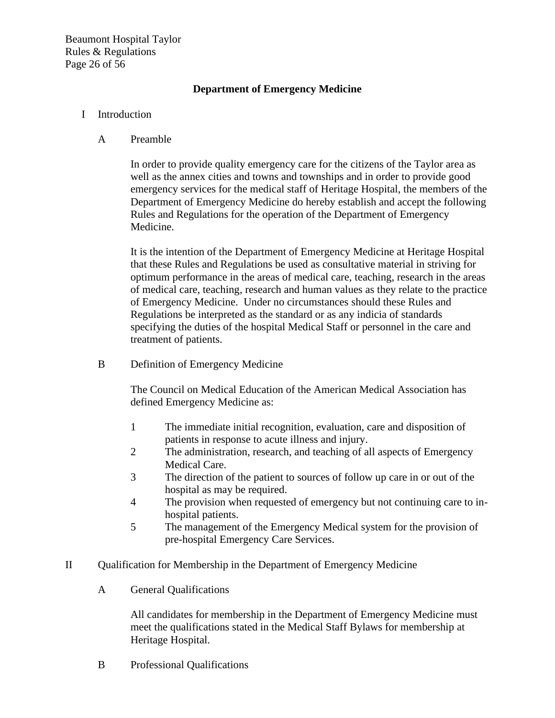Beaumont Hospital Taylor Rules & Regulations Page 26 of 56

# **Department of Emergency Medicine**

#### I Introduction

#### A Preamble

In order to provide quality emergency care for the citizens of the Taylor area as well as the annex cities and towns and townships and in order to provide good emergency services for the medical staff of Heritage Hospital, the members of the Department of Emergency Medicine do hereby establish and accept the following Rules and Regulations for the operation of the Department of Emergency Medicine.

It is the intention of the Department of Emergency Medicine at Heritage Hospital that these Rules and Regulations be used as consultative material in striving for optimum performance in the areas of medical care, teaching, research in the areas of medical care, teaching, research and human values as they relate to the practice of Emergency Medicine. Under no circumstances should these Rules and Regulations be interpreted as the standard or as any indicia of standards specifying the duties of the hospital Medical Staff or personnel in the care and treatment of patients.

B Definition of Emergency Medicine

The Council on Medical Education of the American Medical Association has defined Emergency Medicine as:

- 1 The immediate initial recognition, evaluation, care and disposition of patients in response to acute illness and injury.
- 2 The administration, research, and teaching of all aspects of Emergency Medical Care.
- 3 The direction of the patient to sources of follow up care in or out of the hospital as may be required.
- 4 The provision when requested of emergency but not continuing care to inhospital patients.
- 5 The management of the Emergency Medical system for the provision of pre-hospital Emergency Care Services.
- II Qualification for Membership in the Department of Emergency Medicine
	- A General Qualifications

All candidates for membership in the Department of Emergency Medicine must meet the qualifications stated in the Medical Staff Bylaws for membership at Heritage Hospital.

B Professional Qualifications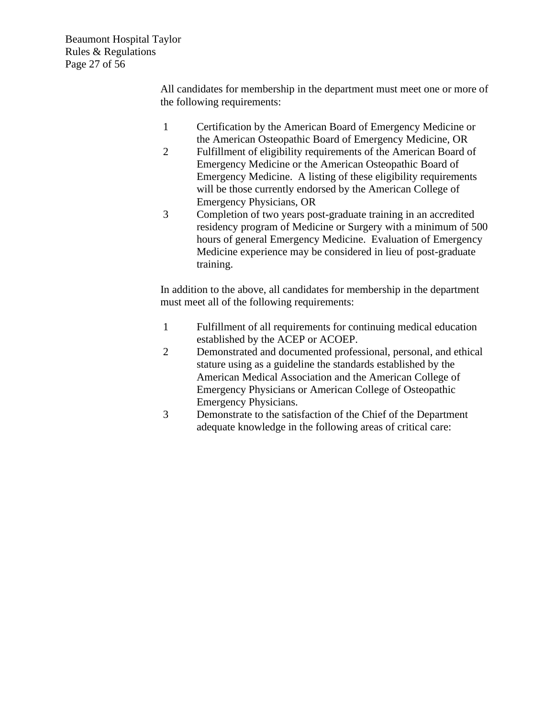Beaumont Hospital Taylor Rules & Regulations Page 27 of 56

> All candidates for membership in the department must meet one or more of the following requirements:

- 1 Certification by the American Board of Emergency Medicine or the American Osteopathic Board of Emergency Medicine, OR
- 2 Fulfillment of eligibility requirements of the American Board of Emergency Medicine or the American Osteopathic Board of Emergency Medicine. A listing of these eligibility requirements will be those currently endorsed by the American College of Emergency Physicians, OR
- 3 Completion of two years post-graduate training in an accredited residency program of Medicine or Surgery with a minimum of 500 hours of general Emergency Medicine. Evaluation of Emergency Medicine experience may be considered in lieu of post-graduate training.

In addition to the above, all candidates for membership in the department must meet all of the following requirements:

- 1 Fulfillment of all requirements for continuing medical education established by the ACEP or ACOEP.
- 2 Demonstrated and documented professional, personal, and ethical stature using as a guideline the standards established by the American Medical Association and the American College of Emergency Physicians or American College of Osteopathic Emergency Physicians.
- 3 Demonstrate to the satisfaction of the Chief of the Department adequate knowledge in the following areas of critical care: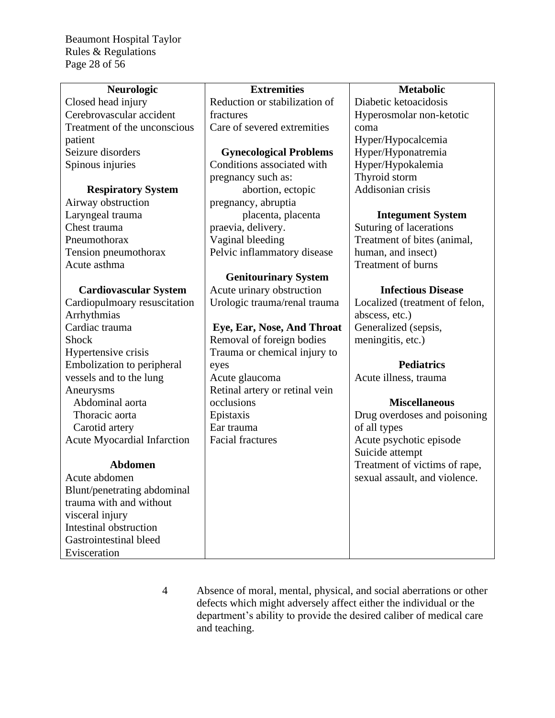Beaumont Hospital Taylor Rules & Regulations Page 28 of 56

| <b>Extremities</b><br><b>Metabolic</b><br>Neurologic<br>Closed head injury<br>Reduction or stabilization of<br>Diabetic ketoacidosis<br>Cerebrovascular accident<br>Hyperosmolar non-ketotic<br>fractures<br>Treatment of the unconscious<br>Care of severed extremities<br>coma<br>patient<br>Hyper/Hypocalcemia<br>Seizure disorders<br>Hyper/Hyponatremia<br><b>Gynecological Problems</b><br>Conditions associated with<br>Spinous injuries<br>Hyper/Hypokalemia<br>Thyroid storm<br>pregnancy such as:<br>Addisonian crisis<br>abortion, ectopic<br><b>Respiratory System</b><br>Airway obstruction<br>pregnancy, abruptia |
|---------------------------------------------------------------------------------------------------------------------------------------------------------------------------------------------------------------------------------------------------------------------------------------------------------------------------------------------------------------------------------------------------------------------------------------------------------------------------------------------------------------------------------------------------------------------------------------------------------------------------------|
|                                                                                                                                                                                                                                                                                                                                                                                                                                                                                                                                                                                                                                 |
|                                                                                                                                                                                                                                                                                                                                                                                                                                                                                                                                                                                                                                 |
|                                                                                                                                                                                                                                                                                                                                                                                                                                                                                                                                                                                                                                 |
|                                                                                                                                                                                                                                                                                                                                                                                                                                                                                                                                                                                                                                 |
|                                                                                                                                                                                                                                                                                                                                                                                                                                                                                                                                                                                                                                 |
|                                                                                                                                                                                                                                                                                                                                                                                                                                                                                                                                                                                                                                 |
|                                                                                                                                                                                                                                                                                                                                                                                                                                                                                                                                                                                                                                 |
|                                                                                                                                                                                                                                                                                                                                                                                                                                                                                                                                                                                                                                 |
|                                                                                                                                                                                                                                                                                                                                                                                                                                                                                                                                                                                                                                 |
|                                                                                                                                                                                                                                                                                                                                                                                                                                                                                                                                                                                                                                 |
| Laryngeal trauma<br>placenta, placenta<br><b>Integument System</b>                                                                                                                                                                                                                                                                                                                                                                                                                                                                                                                                                              |
| Chest trauma<br>praevia, delivery.<br>Suturing of lacerations                                                                                                                                                                                                                                                                                                                                                                                                                                                                                                                                                                   |
| Pneumothorax<br>Vaginal bleeding<br>Treatment of bites (animal,                                                                                                                                                                                                                                                                                                                                                                                                                                                                                                                                                                 |
| Pelvic inflammatory disease<br>human, and insect)<br>Tension pneumothorax                                                                                                                                                                                                                                                                                                                                                                                                                                                                                                                                                       |
| Acute asthma<br><b>Treatment of burns</b>                                                                                                                                                                                                                                                                                                                                                                                                                                                                                                                                                                                       |
| <b>Genitourinary System</b>                                                                                                                                                                                                                                                                                                                                                                                                                                                                                                                                                                                                     |
| Acute urinary obstruction<br><b>Infectious Disease</b><br><b>Cardiovascular System</b>                                                                                                                                                                                                                                                                                                                                                                                                                                                                                                                                          |
| Cardiopulmoary resuscitation<br>Urologic trauma/renal trauma<br>Localized (treatment of felon,                                                                                                                                                                                                                                                                                                                                                                                                                                                                                                                                  |
| Arrhythmias<br>abscess, etc.)                                                                                                                                                                                                                                                                                                                                                                                                                                                                                                                                                                                                   |
| Cardiac trauma<br>Generalized (sepsis,<br>Eye, Ear, Nose, And Throat                                                                                                                                                                                                                                                                                                                                                                                                                                                                                                                                                            |
| Removal of foreign bodies<br><b>Shock</b><br>meningitis, etc.)                                                                                                                                                                                                                                                                                                                                                                                                                                                                                                                                                                  |
| Trauma or chemical injury to<br>Hypertensive crisis                                                                                                                                                                                                                                                                                                                                                                                                                                                                                                                                                                             |
| Embolization to peripheral<br><b>Pediatrics</b><br>eyes                                                                                                                                                                                                                                                                                                                                                                                                                                                                                                                                                                         |
| vessels and to the lung<br>Acute glaucoma<br>Acute illness, trauma                                                                                                                                                                                                                                                                                                                                                                                                                                                                                                                                                              |
| Retinal artery or retinal vein<br>Aneurysms                                                                                                                                                                                                                                                                                                                                                                                                                                                                                                                                                                                     |
| Abdominal aorta<br>occlusions<br><b>Miscellaneous</b>                                                                                                                                                                                                                                                                                                                                                                                                                                                                                                                                                                           |
| Thoracic aorta<br>Epistaxis<br>Drug overdoses and poisoning                                                                                                                                                                                                                                                                                                                                                                                                                                                                                                                                                                     |
| Carotid artery<br>Ear trauma<br>of all types                                                                                                                                                                                                                                                                                                                                                                                                                                                                                                                                                                                    |
| <b>Acute Myocardial Infarction</b><br><b>Facial fractures</b><br>Acute psychotic episode                                                                                                                                                                                                                                                                                                                                                                                                                                                                                                                                        |
| Suicide attempt                                                                                                                                                                                                                                                                                                                                                                                                                                                                                                                                                                                                                 |
| <b>Abdomen</b><br>Treatment of victims of rape,                                                                                                                                                                                                                                                                                                                                                                                                                                                                                                                                                                                 |
| Acute abdomen<br>sexual assault, and violence.                                                                                                                                                                                                                                                                                                                                                                                                                                                                                                                                                                                  |
| Blunt/penetrating abdominal                                                                                                                                                                                                                                                                                                                                                                                                                                                                                                                                                                                                     |
| trauma with and without                                                                                                                                                                                                                                                                                                                                                                                                                                                                                                                                                                                                         |
| visceral injury                                                                                                                                                                                                                                                                                                                                                                                                                                                                                                                                                                                                                 |
| Intestinal obstruction                                                                                                                                                                                                                                                                                                                                                                                                                                                                                                                                                                                                          |
| Gastrointestinal bleed                                                                                                                                                                                                                                                                                                                                                                                                                                                                                                                                                                                                          |
| Evisceration                                                                                                                                                                                                                                                                                                                                                                                                                                                                                                                                                                                                                    |

4 Absence of moral, mental, physical, and social aberrations or other defects which might adversely affect either the individual or the department's ability to provide the desired caliber of medical care and teaching.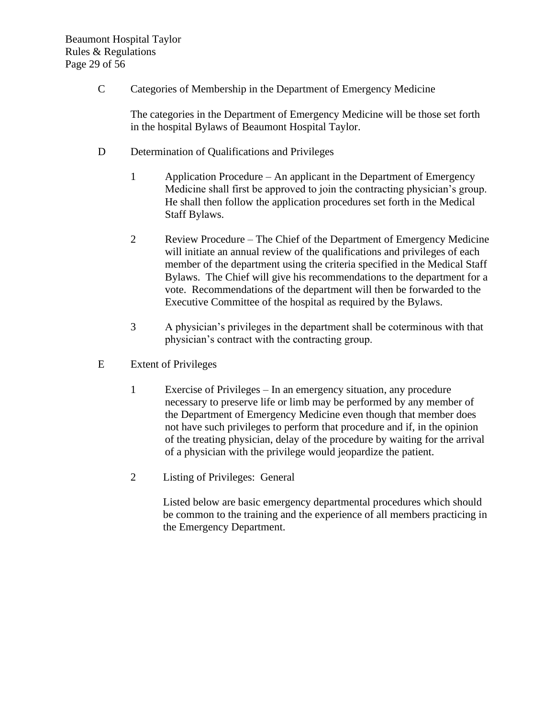C Categories of Membership in the Department of Emergency Medicine

The categories in the Department of Emergency Medicine will be those set forth in the hospital Bylaws of Beaumont Hospital Taylor.

- D Determination of Qualifications and Privileges
	- 1 Application Procedure An applicant in the Department of Emergency Medicine shall first be approved to join the contracting physician's group. He shall then follow the application procedures set forth in the Medical Staff Bylaws.
	- 2 Review Procedure The Chief of the Department of Emergency Medicine will initiate an annual review of the qualifications and privileges of each member of the department using the criteria specified in the Medical Staff Bylaws. The Chief will give his recommendations to the department for a vote. Recommendations of the department will then be forwarded to the Executive Committee of the hospital as required by the Bylaws.
	- 3 A physician's privileges in the department shall be coterminous with that physician's contract with the contracting group.
- E Extent of Privileges
	- 1 Exercise of Privileges In an emergency situation, any procedure necessary to preserve life or limb may be performed by any member of the Department of Emergency Medicine even though that member does not have such privileges to perform that procedure and if, in the opinion of the treating physician, delay of the procedure by waiting for the arrival of a physician with the privilege would jeopardize the patient.
	- 2 Listing of Privileges: General

Listed below are basic emergency departmental procedures which should be common to the training and the experience of all members practicing in the Emergency Department.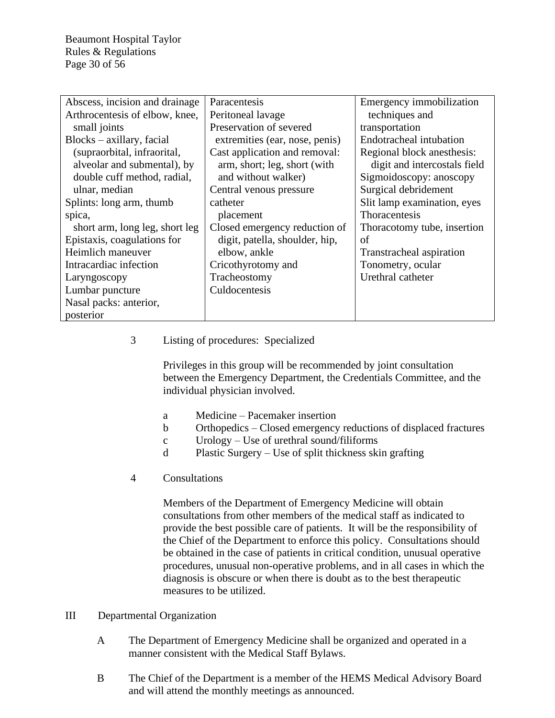Beaumont Hospital Taylor Rules & Regulations Page 30 of 56

| Abscess, incision and drainage | Paracentesis                   | Emergency immobilization     |
|--------------------------------|--------------------------------|------------------------------|
| Arthrocentesis of elbow, knee, | Peritoneal lavage              | techniques and               |
| small joints                   | Preservation of severed        | transportation               |
| $Blocks - axillary, facial$    | extremities (ear, nose, penis) | Endotracheal intubation      |
| (supraorbital, infraorital,    | Cast application and removal:  | Regional block anesthesis:   |
| alveolar and submental), by    | arm, short; leg, short (with   | digit and intercostals field |
| double cuff method, radial,    | and without walker)            | Sigmoidoscopy: anoscopy      |
| ulnar, median                  | Central venous pressure        | Surgical debridement         |
| Splints: long arm, thumb       | catheter                       | Slit lamp examination, eyes  |
| spica,                         | placement                      | Thoracentesis                |
| short arm, long leg, short leg | Closed emergency reduction of  | Thoracotomy tube, insertion  |
| Epistaxis, coagulations for    | digit, patella, shoulder, hip, | of                           |
| Heimlich maneuver              | elbow, ankle                   | Transtracheal aspiration     |
| Intracardiac infection         | Cricothyrotomy and             | Tonometry, ocular            |
| Laryngoscopy                   | Tracheostomy                   | Urethral catheter            |
| Lumbar puncture                | Culdocentesis                  |                              |
| Nasal packs: anterior,         |                                |                              |
| posterior                      |                                |                              |

## 3 Listing of procedures: Specialized

Privileges in this group will be recommended by joint consultation between the Emergency Department, the Credentials Committee, and the individual physician involved.

- a Medicine Pacemaker insertion
- b Orthopedics Closed emergency reductions of displaced fractures
- c Urology Use of urethral sound/filiforms
- d Plastic Surgery Use of split thickness skin grafting
- 4 Consultations

Members of the Department of Emergency Medicine will obtain consultations from other members of the medical staff as indicated to provide the best possible care of patients. It will be the responsibility of the Chief of the Department to enforce this policy. Consultations should be obtained in the case of patients in critical condition, unusual operative procedures, unusual non-operative problems, and in all cases in which the diagnosis is obscure or when there is doubt as to the best therapeutic measures to be utilized.

#### III Departmental Organization

- A The Department of Emergency Medicine shall be organized and operated in a manner consistent with the Medical Staff Bylaws.
- B The Chief of the Department is a member of the HEMS Medical Advisory Board and will attend the monthly meetings as announced.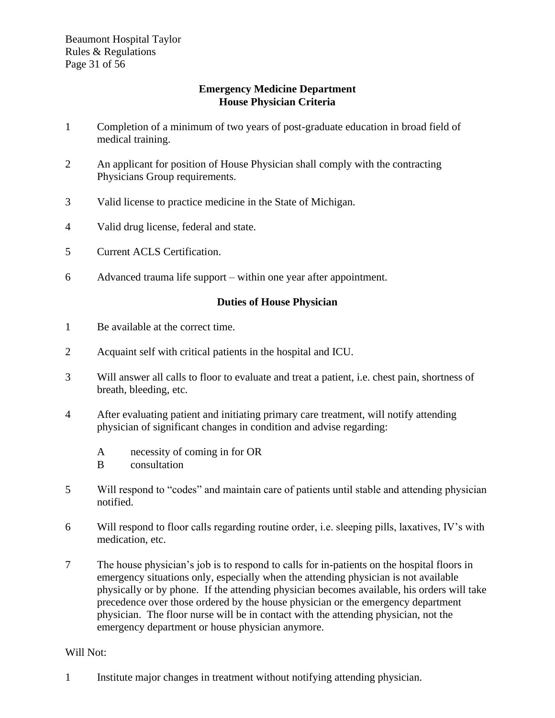## **Emergency Medicine Department House Physician Criteria**

- 1 Completion of a minimum of two years of post-graduate education in broad field of medical training.
- 2 An applicant for position of House Physician shall comply with the contracting Physicians Group requirements.
- 3 Valid license to practice medicine in the State of Michigan.
- 4 Valid drug license, federal and state.
- 5 Current ACLS Certification.
- 6 Advanced trauma life support within one year after appointment.

# **Duties of House Physician**

- 1 Be available at the correct time.
- 2 Acquaint self with critical patients in the hospital and ICU.
- 3 Will answer all calls to floor to evaluate and treat a patient, i.e. chest pain, shortness of breath, bleeding, etc.
- 4 After evaluating patient and initiating primary care treatment, will notify attending physician of significant changes in condition and advise regarding:
	- A necessity of coming in for OR
	- B consultation
- 5 Will respond to "codes" and maintain care of patients until stable and attending physician notified.
- 6 Will respond to floor calls regarding routine order, i.e. sleeping pills, laxatives, IV's with medication, etc.
- 7 The house physician's job is to respond to calls for in-patients on the hospital floors in emergency situations only, especially when the attending physician is not available physically or by phone. If the attending physician becomes available, his orders will take precedence over those ordered by the house physician or the emergency department physician. The floor nurse will be in contact with the attending physician, not the emergency department or house physician anymore.

#### Will Not:

1 Institute major changes in treatment without notifying attending physician.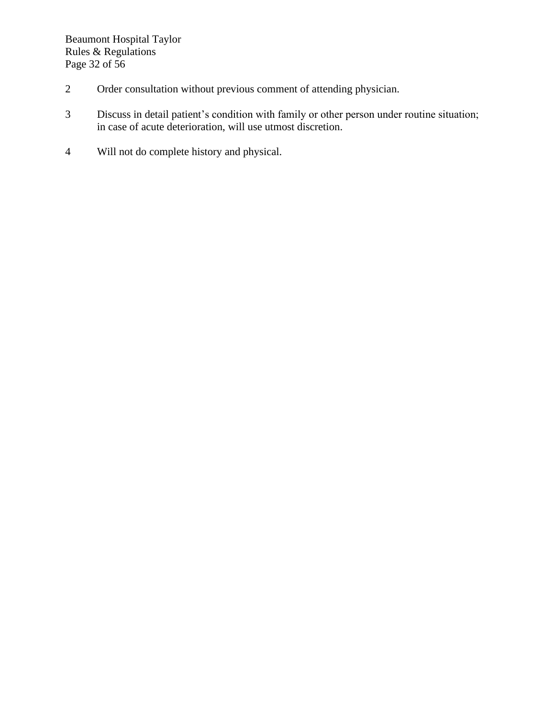- 2 Order consultation without previous comment of attending physician.
- 3 Discuss in detail patient's condition with family or other person under routine situation; in case of acute deterioration, will use utmost discretion.
- 4 Will not do complete history and physical.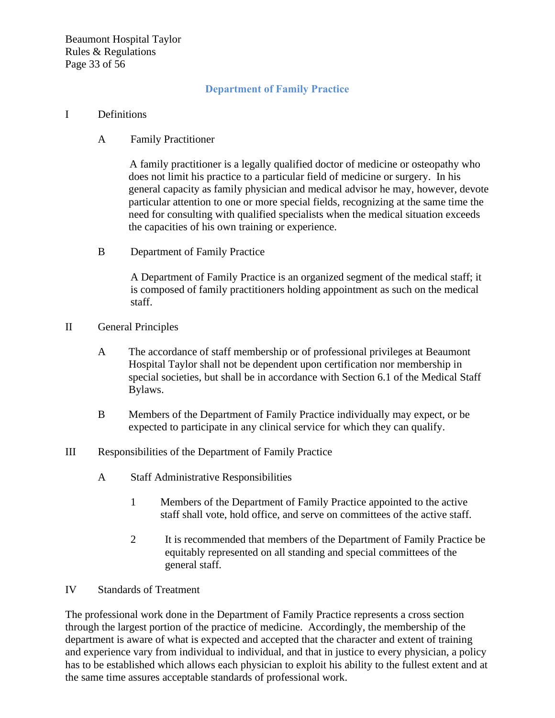Beaumont Hospital Taylor Rules & Regulations Page 33 of 56

# **Department of Family Practice**

#### I Definitions

A Family Practitioner

A family practitioner is a legally qualified doctor of medicine or osteopathy who does not limit his practice to a particular field of medicine or surgery. In his general capacity as family physician and medical advisor he may, however, devote particular attention to one or more special fields, recognizing at the same time the need for consulting with qualified specialists when the medical situation exceeds the capacities of his own training or experience.

B Department of Family Practice

A Department of Family Practice is an organized segment of the medical staff; it is composed of family practitioners holding appointment as such on the medical staff.

- II General Principles
	- A The accordance of staff membership or of professional privileges at Beaumont Hospital Taylor shall not be dependent upon certification nor membership in special societies, but shall be in accordance with Section 6.1 of the Medical Staff Bylaws.
	- B Members of the Department of Family Practice individually may expect, or be expected to participate in any clinical service for which they can qualify.
- III Responsibilities of the Department of Family Practice
	- A Staff Administrative Responsibilities
		- 1 Members of the Department of Family Practice appointed to the active staff shall vote, hold office, and serve on committees of the active staff.
		- 2 It is recommended that members of the Department of Family Practice be equitably represented on all standing and special committees of the general staff.
- IV Standards of Treatment

The professional work done in the Department of Family Practice represents a cross section through the largest portion of the practice of medicine. Accordingly, the membership of the department is aware of what is expected and accepted that the character and extent of training and experience vary from individual to individual, and that in justice to every physician, a policy has to be established which allows each physician to exploit his ability to the fullest extent and at the same time assures acceptable standards of professional work.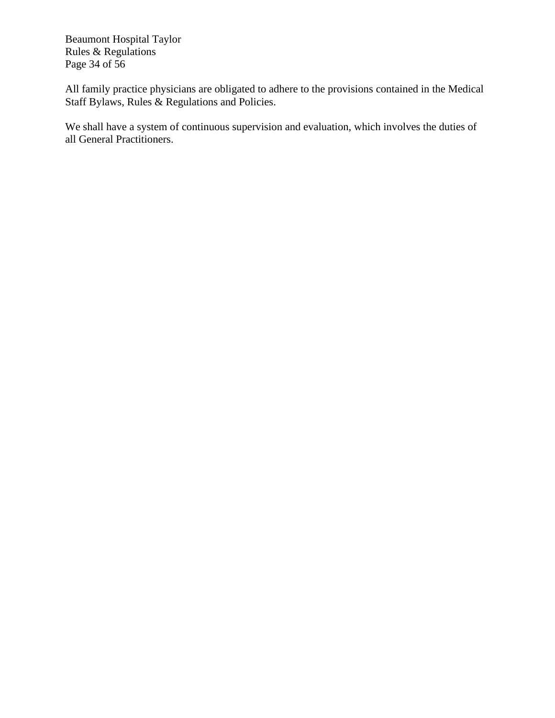Beaumont Hospital Taylor Rules & Regulations Page 34 of 56

All family practice physicians are obligated to adhere to the provisions contained in the Medical Staff Bylaws, Rules & Regulations and Policies.

We shall have a system of continuous supervision and evaluation, which involves the duties of all General Practitioners.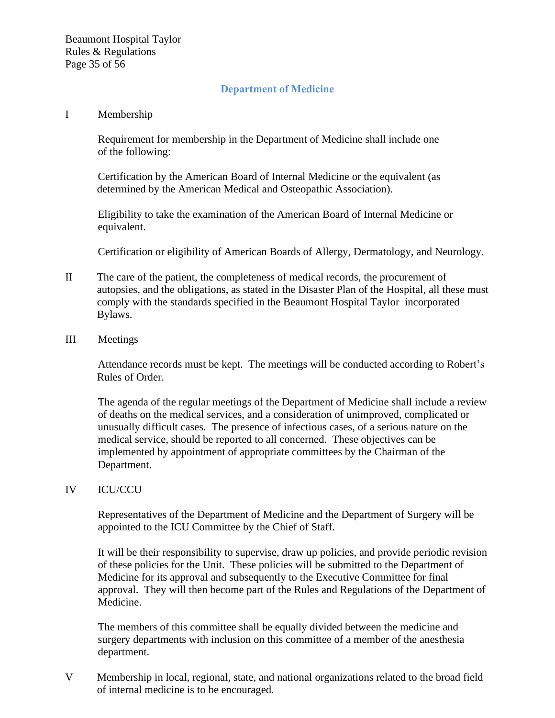## **Department of Medicine**

#### I Membership

Requirement for membership in the Department of Medicine shall include one of the following:

Certification by the American Board of Internal Medicine or the equivalent (as determined by the American Medical and Osteopathic Association).

Eligibility to take the examination of the American Board of Internal Medicine or equivalent.

Certification or eligibility of American Boards of Allergy, Dermatology, and Neurology.

- II The care of the patient, the completeness of medical records, the procurement of autopsies, and the obligations, as stated in the Disaster Plan of the Hospital, all these must comply with the standards specified in the Beaumont Hospital Taylor incorporated Bylaws.
- III Meetings

Attendance records must be kept. The meetings will be conducted according to Robert's Rules of Order.

The agenda of the regular meetings of the Department of Medicine shall include a review of deaths on the medical services, and a consideration of unimproved, complicated or unusually difficult cases. The presence of infectious cases, of a serious nature on the medical service, should be reported to all concerned. These objectives can be implemented by appointment of appropriate committees by the Chairman of the Department.

#### IV ICU/CCU

Representatives of the Department of Medicine and the Department of Surgery will be appointed to the ICU Committee by the Chief of Staff.

It will be their responsibility to supervise, draw up policies, and provide periodic revision of these policies for the Unit. These policies will be submitted to the Department of Medicine for its approval and subsequently to the Executive Committee for final approval. They will then become part of the Rules and Regulations of the Department of Medicine.

The members of this committee shall be equally divided between the medicine and surgery departments with inclusion on this committee of a member of the anesthesia department.

V Membership in local, regional, state, and national organizations related to the broad field of internal medicine is to be encouraged.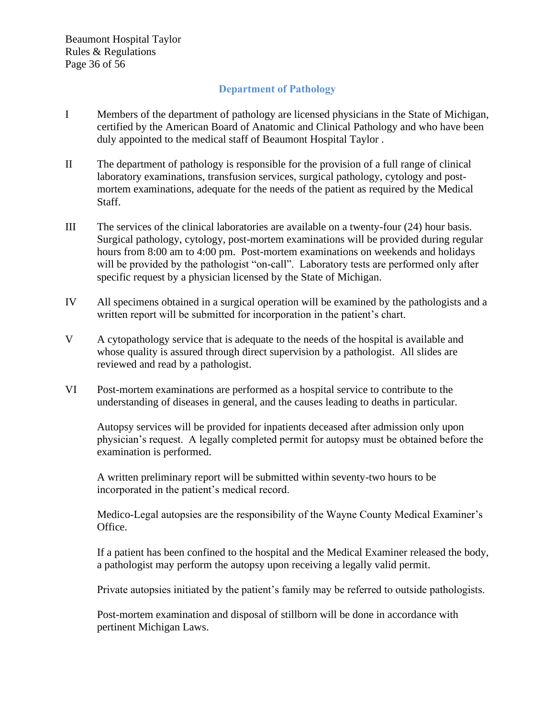# **Department of Pathology**

- I Members of the department of pathology are licensed physicians in the State of Michigan, certified by the American Board of Anatomic and Clinical Pathology and who have been duly appointed to the medical staff of Beaumont Hospital Taylor .
- II The department of pathology is responsible for the provision of a full range of clinical laboratory examinations, transfusion services, surgical pathology, cytology and postmortem examinations, adequate for the needs of the patient as required by the Medical Staff.
- III The services of the clinical laboratories are available on a twenty-four (24) hour basis. Surgical pathology, cytology, post-mortem examinations will be provided during regular hours from 8:00 am to 4:00 pm. Post-mortem examinations on weekends and holidays will be provided by the pathologist "on-call". Laboratory tests are performed only after specific request by a physician licensed by the State of Michigan.
- IV All specimens obtained in a surgical operation will be examined by the pathologists and a written report will be submitted for incorporation in the patient's chart.
- V A cytopathology service that is adequate to the needs of the hospital is available and whose quality is assured through direct supervision by a pathologist. All slides are reviewed and read by a pathologist.
- VI Post-mortem examinations are performed as a hospital service to contribute to the understanding of diseases in general, and the causes leading to deaths in particular.

Autopsy services will be provided for inpatients deceased after admission only upon physician's request. A legally completed permit for autopsy must be obtained before the examination is performed.

A written preliminary report will be submitted within seventy-two hours to be incorporated in the patient's medical record.

Medico-Legal autopsies are the responsibility of the Wayne County Medical Examiner's Office.

If a patient has been confined to the hospital and the Medical Examiner released the body, a pathologist may perform the autopsy upon receiving a legally valid permit.

Private autopsies initiated by the patient's family may be referred to outside pathologists.

Post-mortem examination and disposal of stillborn will be done in accordance with pertinent Michigan Laws.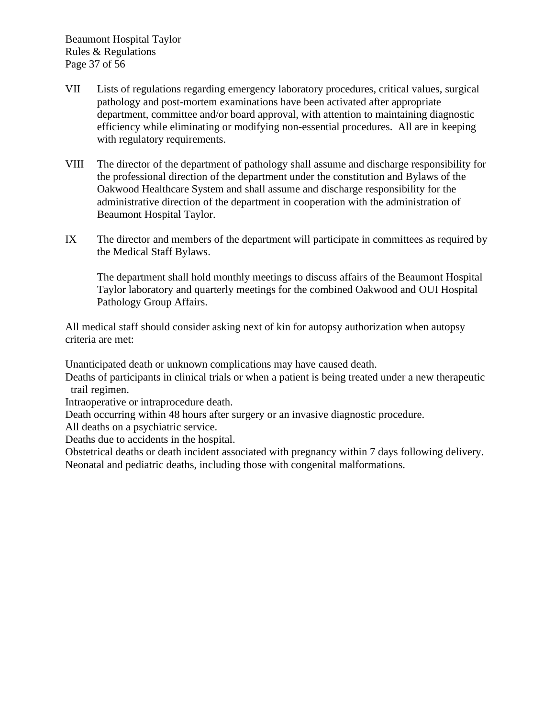- VII Lists of regulations regarding emergency laboratory procedures, critical values, surgical pathology and post-mortem examinations have been activated after appropriate department, committee and/or board approval, with attention to maintaining diagnostic efficiency while eliminating or modifying non-essential procedures. All are in keeping with regulatory requirements.
- VIII The director of the department of pathology shall assume and discharge responsibility for the professional direction of the department under the constitution and Bylaws of the Oakwood Healthcare System and shall assume and discharge responsibility for the administrative direction of the department in cooperation with the administration of Beaumont Hospital Taylor.
- IX The director and members of the department will participate in committees as required by the Medical Staff Bylaws.

The department shall hold monthly meetings to discuss affairs of the Beaumont Hospital Taylor laboratory and quarterly meetings for the combined Oakwood and OUI Hospital Pathology Group Affairs.

All medical staff should consider asking next of kin for autopsy authorization when autopsy criteria are met:

Unanticipated death or unknown complications may have caused death.

Deaths of participants in clinical trials or when a patient is being treated under a new therapeutic trail regimen.

Intraoperative or intraprocedure death.

Death occurring within 48 hours after surgery or an invasive diagnostic procedure.

All deaths on a psychiatric service.

Deaths due to accidents in the hospital.

Obstetrical deaths or death incident associated with pregnancy within 7 days following delivery. Neonatal and pediatric deaths, including those with congenital malformations.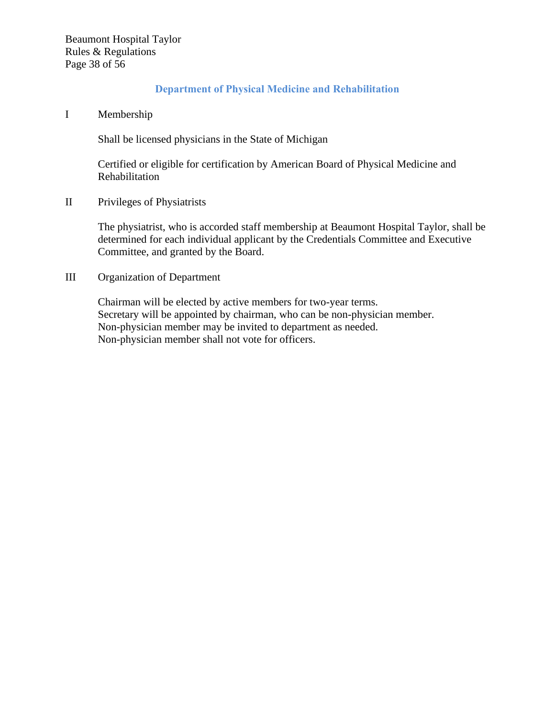## **Department of Physical Medicine and Rehabilitation**

#### I Membership

Shall be licensed physicians in the State of Michigan

Certified or eligible for certification by American Board of Physical Medicine and Rehabilitation

II Privileges of Physiatrists

The physiatrist, who is accorded staff membership at Beaumont Hospital Taylor, shall be determined for each individual applicant by the Credentials Committee and Executive Committee, and granted by the Board.

#### III Organization of Department

Chairman will be elected by active members for two-year terms. Secretary will be appointed by chairman, who can be non-physician member. Non-physician member may be invited to department as needed. Non-physician member shall not vote for officers.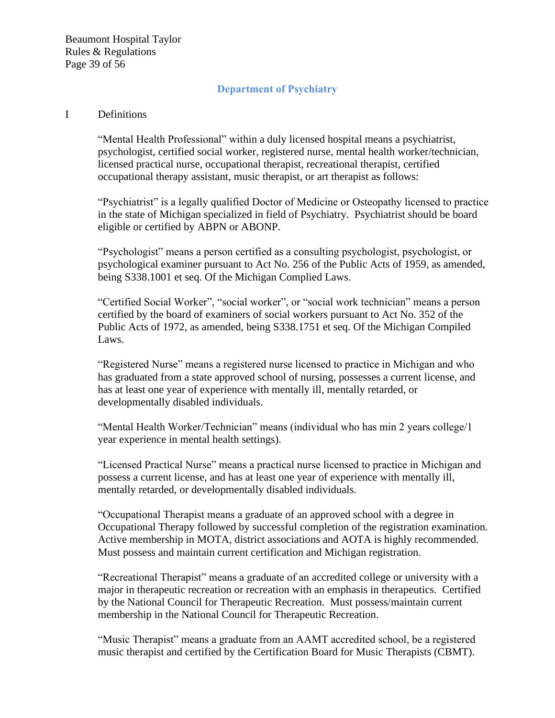Beaumont Hospital Taylor Rules & Regulations Page 39 of 56

## **Department of Psychiatry**

#### I Definitions

"Mental Health Professional" within a duly licensed hospital means a psychiatrist, psychologist, certified social worker, registered nurse, mental health worker/technician, licensed practical nurse, occupational therapist, recreational therapist, certified occupational therapy assistant, music therapist, or art therapist as follows:

"Psychiatrist" is a legally qualified Doctor of Medicine or Osteopathy licensed to practice in the state of Michigan specialized in field of Psychiatry. Psychiatrist should be board eligible or certified by ABPN or ABONP.

"Psychologist" means a person certified as a consulting psychologist, psychologist, or psychological examiner pursuant to Act No. 256 of the Public Acts of 1959, as amended, being S338.1001 et seq. Of the Michigan Complied Laws.

"Certified Social Worker", "social worker", or "social work technician" means a person certified by the board of examiners of social workers pursuant to Act No. 352 of the Public Acts of 1972, as amended, being S338.1751 et seq. Of the Michigan Compiled Laws.

"Registered Nurse" means a registered nurse licensed to practice in Michigan and who has graduated from a state approved school of nursing, possesses a current license, and has at least one year of experience with mentally ill, mentally retarded, or developmentally disabled individuals.

"Mental Health Worker/Technician" means (individual who has min 2 years college/1 year experience in mental health settings).

"Licensed Practical Nurse" means a practical nurse licensed to practice in Michigan and possess a current license, and has at least one year of experience with mentally ill, mentally retarded, or developmentally disabled individuals.

"Occupational Therapist means a graduate of an approved school with a degree in Occupational Therapy followed by successful completion of the registration examination. Active membership in MOTA, district associations and AOTA is highly recommended. Must possess and maintain current certification and Michigan registration.

"Recreational Therapist" means a graduate of an accredited college or university with a major in therapeutic recreation or recreation with an emphasis in therapeutics. Certified by the National Council for Therapeutic Recreation. Must possess/maintain current membership in the National Council for Therapeutic Recreation.

"Music Therapist" means a graduate from an AAMT accredited school, be a registered music therapist and certified by the Certification Board for Music Therapists (CBMT).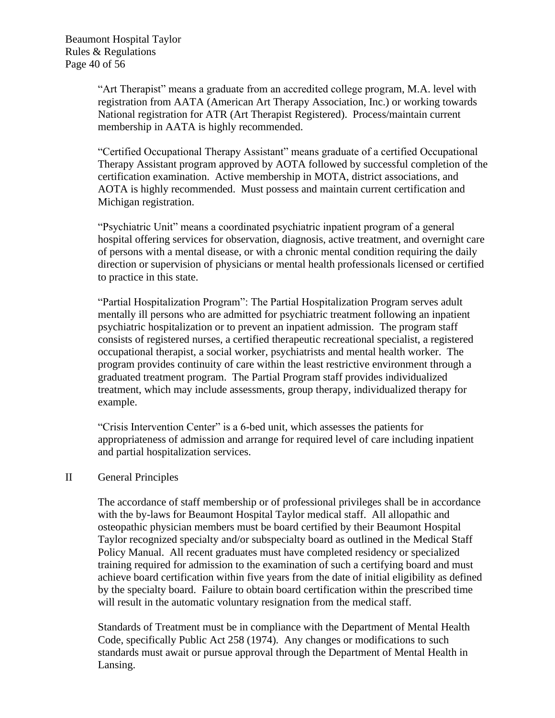"Art Therapist" means a graduate from an accredited college program, M.A. level with registration from AATA (American Art Therapy Association, Inc.) or working towards National registration for ATR (Art Therapist Registered). Process/maintain current membership in AATA is highly recommended.

"Certified Occupational Therapy Assistant" means graduate of a certified Occupational Therapy Assistant program approved by AOTA followed by successful completion of the certification examination. Active membership in MOTA, district associations, and AOTA is highly recommended. Must possess and maintain current certification and Michigan registration.

"Psychiatric Unit" means a coordinated psychiatric inpatient program of a general hospital offering services for observation, diagnosis, active treatment, and overnight care of persons with a mental disease, or with a chronic mental condition requiring the daily direction or supervision of physicians or mental health professionals licensed or certified to practice in this state.

"Partial Hospitalization Program": The Partial Hospitalization Program serves adult mentally ill persons who are admitted for psychiatric treatment following an inpatient psychiatric hospitalization or to prevent an inpatient admission. The program staff consists of registered nurses, a certified therapeutic recreational specialist, a registered occupational therapist, a social worker, psychiatrists and mental health worker. The program provides continuity of care within the least restrictive environment through a graduated treatment program. The Partial Program staff provides individualized treatment, which may include assessments, group therapy, individualized therapy for example.

"Crisis Intervention Center" is a 6-bed unit, which assesses the patients for appropriateness of admission and arrange for required level of care including inpatient and partial hospitalization services.

#### II General Principles

The accordance of staff membership or of professional privileges shall be in accordance with the by-laws for Beaumont Hospital Taylor medical staff. All allopathic and osteopathic physician members must be board certified by their Beaumont Hospital Taylor recognized specialty and/or subspecialty board as outlined in the Medical Staff Policy Manual. All recent graduates must have completed residency or specialized training required for admission to the examination of such a certifying board and must achieve board certification within five years from the date of initial eligibility as defined by the specialty board. Failure to obtain board certification within the prescribed time will result in the automatic voluntary resignation from the medical staff.

Standards of Treatment must be in compliance with the Department of Mental Health Code, specifically Public Act 258 (1974). Any changes or modifications to such standards must await or pursue approval through the Department of Mental Health in Lansing.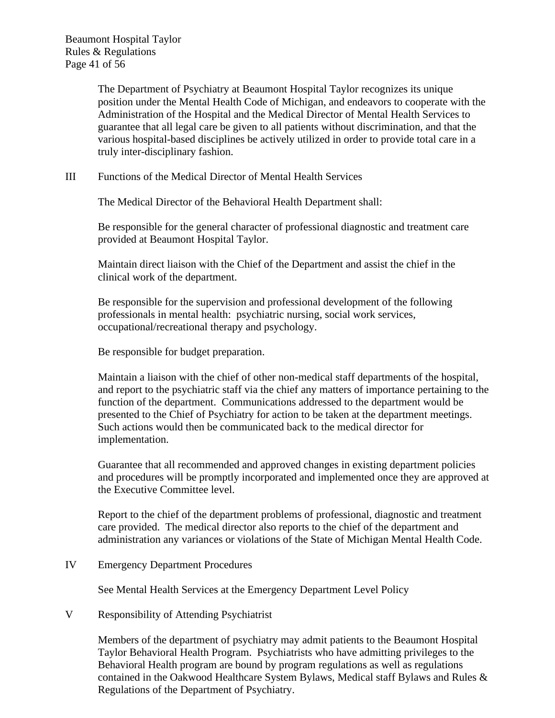Beaumont Hospital Taylor Rules & Regulations Page 41 of 56

> The Department of Psychiatry at Beaumont Hospital Taylor recognizes its unique position under the Mental Health Code of Michigan, and endeavors to cooperate with the Administration of the Hospital and the Medical Director of Mental Health Services to guarantee that all legal care be given to all patients without discrimination, and that the various hospital-based disciplines be actively utilized in order to provide total care in a truly inter-disciplinary fashion.

III Functions of the Medical Director of Mental Health Services

The Medical Director of the Behavioral Health Department shall:

Be responsible for the general character of professional diagnostic and treatment care provided at Beaumont Hospital Taylor.

Maintain direct liaison with the Chief of the Department and assist the chief in the clinical work of the department.

Be responsible for the supervision and professional development of the following professionals in mental health: psychiatric nursing, social work services, occupational/recreational therapy and psychology.

Be responsible for budget preparation.

Maintain a liaison with the chief of other non-medical staff departments of the hospital, and report to the psychiatric staff via the chief any matters of importance pertaining to the function of the department. Communications addressed to the department would be presented to the Chief of Psychiatry for action to be taken at the department meetings. Such actions would then be communicated back to the medical director for implementation.

Guarantee that all recommended and approved changes in existing department policies and procedures will be promptly incorporated and implemented once they are approved at the Executive Committee level.

Report to the chief of the department problems of professional, diagnostic and treatment care provided. The medical director also reports to the chief of the department and administration any variances or violations of the State of Michigan Mental Health Code.

IV Emergency Department Procedures

See Mental Health Services at the Emergency Department Level Policy

V Responsibility of Attending Psychiatrist

Members of the department of psychiatry may admit patients to the Beaumont Hospital Taylor Behavioral Health Program. Psychiatrists who have admitting privileges to the Behavioral Health program are bound by program regulations as well as regulations contained in the Oakwood Healthcare System Bylaws, Medical staff Bylaws and Rules & Regulations of the Department of Psychiatry.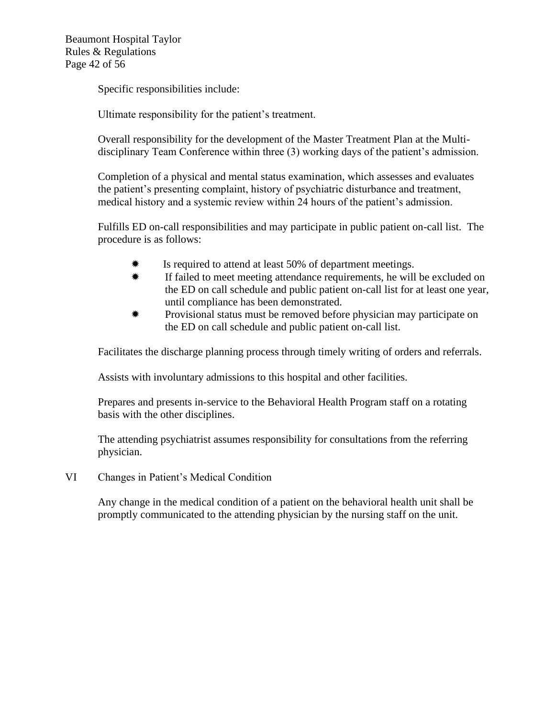Beaumont Hospital Taylor Rules & Regulations Page 42 of 56

Specific responsibilities include:

Ultimate responsibility for the patient's treatment.

Overall responsibility for the development of the Master Treatment Plan at the Multidisciplinary Team Conference within three (3) working days of the patient's admission.

Completion of a physical and mental status examination, which assesses and evaluates the patient's presenting complaint, history of psychiatric disturbance and treatment, medical history and a systemic review within 24 hours of the patient's admission.

Fulfills ED on-call responsibilities and may participate in public patient on-call list. The procedure is as follows:

- Is required to attend at least 50% of department meetings.
- **If failed to meet meeting attendance requirements, he will be excluded on** the ED on call schedule and public patient on-call list for at least one year, until compliance has been demonstrated.
- Provisional status must be removed before physician may participate on the ED on call schedule and public patient on-call list.

Facilitates the discharge planning process through timely writing of orders and referrals.

Assists with involuntary admissions to this hospital and other facilities.

Prepares and presents in-service to the Behavioral Health Program staff on a rotating basis with the other disciplines.

The attending psychiatrist assumes responsibility for consultations from the referring physician.

VI Changes in Patient's Medical Condition

Any change in the medical condition of a patient on the behavioral health unit shall be promptly communicated to the attending physician by the nursing staff on the unit.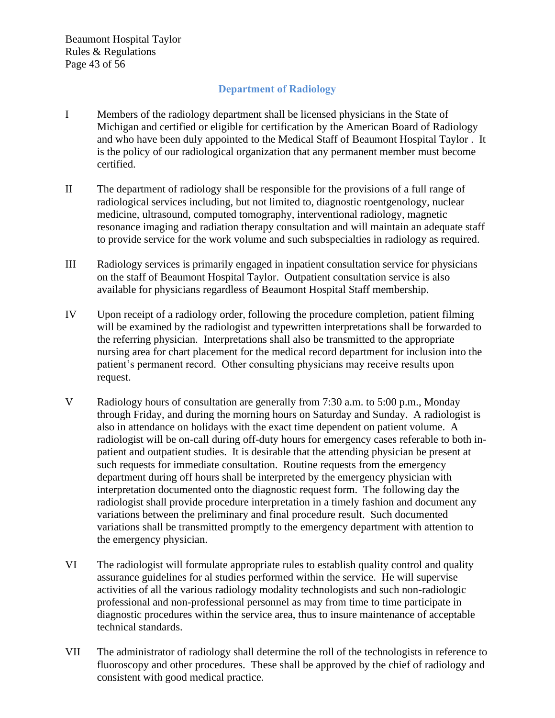Beaumont Hospital Taylor Rules & Regulations Page 43 of 56

# **Department of Radiology**

- I Members of the radiology department shall be licensed physicians in the State of Michigan and certified or eligible for certification by the American Board of Radiology and who have been duly appointed to the Medical Staff of Beaumont Hospital Taylor . It is the policy of our radiological organization that any permanent member must become certified.
- II The department of radiology shall be responsible for the provisions of a full range of radiological services including, but not limited to, diagnostic roentgenology, nuclear medicine, ultrasound, computed tomography, interventional radiology, magnetic resonance imaging and radiation therapy consultation and will maintain an adequate staff to provide service for the work volume and such subspecialties in radiology as required.
- III Radiology services is primarily engaged in inpatient consultation service for physicians on the staff of Beaumont Hospital Taylor. Outpatient consultation service is also available for physicians regardless of Beaumont Hospital Staff membership.
- IV Upon receipt of a radiology order, following the procedure completion, patient filming will be examined by the radiologist and typewritten interpretations shall be forwarded to the referring physician. Interpretations shall also be transmitted to the appropriate nursing area for chart placement for the medical record department for inclusion into the patient's permanent record. Other consulting physicians may receive results upon request.
- V Radiology hours of consultation are generally from 7:30 a.m. to 5:00 p.m., Monday through Friday, and during the morning hours on Saturday and Sunday. A radiologist is also in attendance on holidays with the exact time dependent on patient volume. A radiologist will be on-call during off-duty hours for emergency cases referable to both inpatient and outpatient studies. It is desirable that the attending physician be present at such requests for immediate consultation. Routine requests from the emergency department during off hours shall be interpreted by the emergency physician with interpretation documented onto the diagnostic request form. The following day the radiologist shall provide procedure interpretation in a timely fashion and document any variations between the preliminary and final procedure result. Such documented variations shall be transmitted promptly to the emergency department with attention to the emergency physician.
- VI The radiologist will formulate appropriate rules to establish quality control and quality assurance guidelines for al studies performed within the service. He will supervise activities of all the various radiology modality technologists and such non-radiologic professional and non-professional personnel as may from time to time participate in diagnostic procedures within the service area, thus to insure maintenance of acceptable technical standards.
- VII The administrator of radiology shall determine the roll of the technologists in reference to fluoroscopy and other procedures. These shall be approved by the chief of radiology and consistent with good medical practice.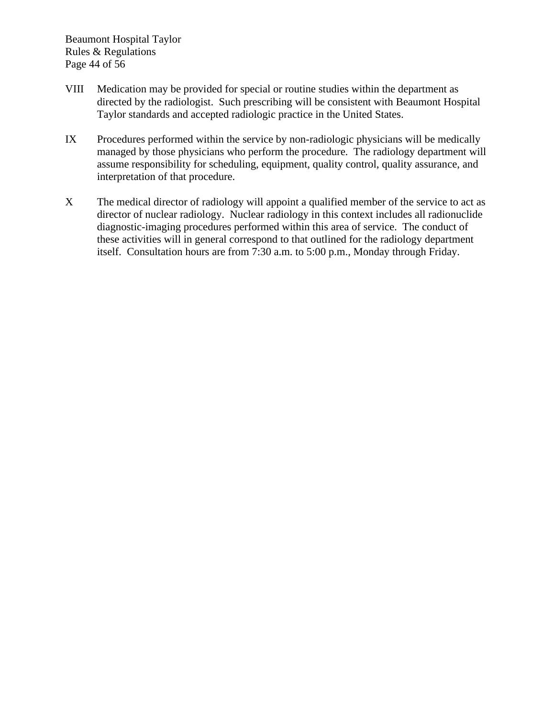Beaumont Hospital Taylor Rules & Regulations Page 44 of 56

- VIII Medication may be provided for special or routine studies within the department as directed by the radiologist. Such prescribing will be consistent with Beaumont Hospital Taylor standards and accepted radiologic practice in the United States.
- IX Procedures performed within the service by non-radiologic physicians will be medically managed by those physicians who perform the procedure. The radiology department will assume responsibility for scheduling, equipment, quality control, quality assurance, and interpretation of that procedure.
- X The medical director of radiology will appoint a qualified member of the service to act as director of nuclear radiology. Nuclear radiology in this context includes all radionuclide diagnostic-imaging procedures performed within this area of service. The conduct of these activities will in general correspond to that outlined for the radiology department itself. Consultation hours are from 7:30 a.m. to 5:00 p.m., Monday through Friday.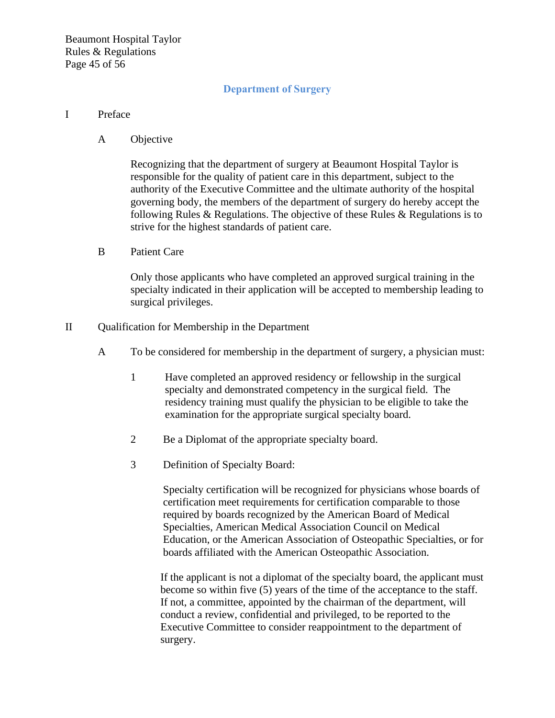## **Department of Surgery**

#### I Preface

A Objective

Recognizing that the department of surgery at Beaumont Hospital Taylor is responsible for the quality of patient care in this department, subject to the authority of the Executive Committee and the ultimate authority of the hospital governing body, the members of the department of surgery do hereby accept the following Rules & Regulations. The objective of these Rules & Regulations is to strive for the highest standards of patient care.

B Patient Care

Only those applicants who have completed an approved surgical training in the specialty indicated in their application will be accepted to membership leading to surgical privileges.

- II Qualification for Membership in the Department
	- A To be considered for membership in the department of surgery, a physician must:
		- 1 Have completed an approved residency or fellowship in the surgical specialty and demonstrated competency in the surgical field. The residency training must qualify the physician to be eligible to take the examination for the appropriate surgical specialty board.
		- 2 Be a Diplomat of the appropriate specialty board.
		- 3 Definition of Specialty Board:

Specialty certification will be recognized for physicians whose boards of certification meet requirements for certification comparable to those required by boards recognized by the American Board of Medical Specialties, American Medical Association Council on Medical Education, or the American Association of Osteopathic Specialties, or for boards affiliated with the American Osteopathic Association.

If the applicant is not a diplomat of the specialty board, the applicant must become so within five (5) years of the time of the acceptance to the staff. If not, a committee, appointed by the chairman of the department, will conduct a review, confidential and privileged, to be reported to the Executive Committee to consider reappointment to the department of surgery.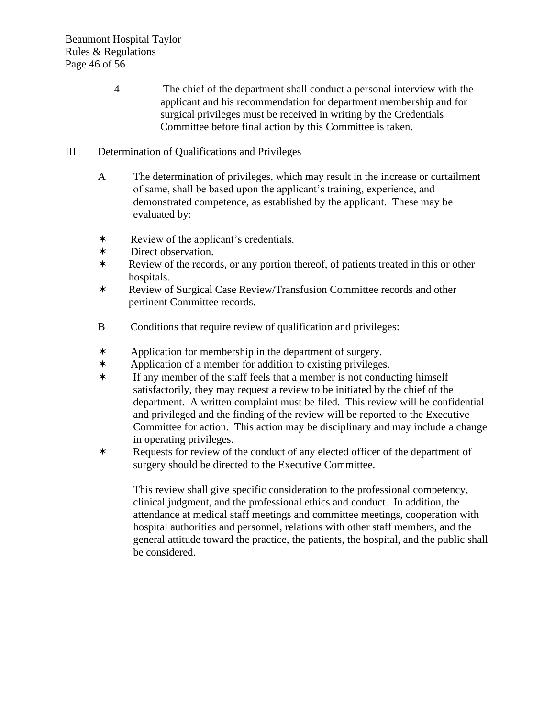- 4 The chief of the department shall conduct a personal interview with the applicant and his recommendation for department membership and for surgical privileges must be received in writing by the Credentials Committee before final action by this Committee is taken.
- III Determination of Qualifications and Privileges
	- A The determination of privileges, which may result in the increase or curtailment of same, shall be based upon the applicant's training, experience, and demonstrated competence, as established by the applicant. These may be evaluated by:
	- Review of the applicant's credentials.
	- Direct observation.
	- \* Review of the records, or any portion thereof, of patients treated in this or other hospitals.
	- Review of Surgical Case Review/Transfusion Committee records and other pertinent Committee records.
	- B Conditions that require review of qualification and privileges:
	- Application for membership in the department of surgery.
	- Application of a member for addition to existing privileges.
	- $*$  If any member of the staff feels that a member is not conducting himself satisfactorily, they may request a review to be initiated by the chief of the department. A written complaint must be filed. This review will be confidential and privileged and the finding of the review will be reported to the Executive Committee for action. This action may be disciplinary and may include a change in operating privileges.
	- Requests for review of the conduct of any elected officer of the department of surgery should be directed to the Executive Committee.

This review shall give specific consideration to the professional competency, clinical judgment, and the professional ethics and conduct. In addition, the attendance at medical staff meetings and committee meetings, cooperation with hospital authorities and personnel, relations with other staff members, and the general attitude toward the practice, the patients, the hospital, and the public shall be considered.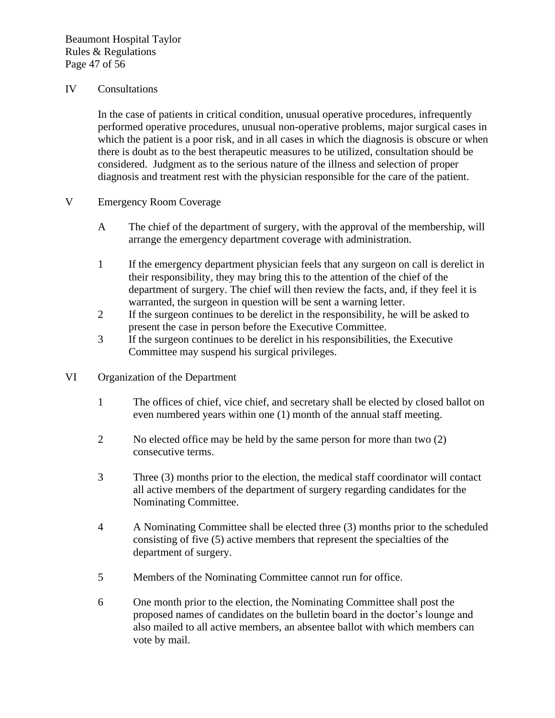#### IV Consultations

In the case of patients in critical condition, unusual operative procedures, infrequently performed operative procedures, unusual non-operative problems, major surgical cases in which the patient is a poor risk, and in all cases in which the diagnosis is obscure or when there is doubt as to the best therapeutic measures to be utilized, consultation should be considered. Judgment as to the serious nature of the illness and selection of proper diagnosis and treatment rest with the physician responsible for the care of the patient.

- V Emergency Room Coverage
	- A The chief of the department of surgery, with the approval of the membership, will arrange the emergency department coverage with administration.
	- 1 If the emergency department physician feels that any surgeon on call is derelict in their responsibility, they may bring this to the attention of the chief of the department of surgery. The chief will then review the facts, and, if they feel it is warranted, the surgeon in question will be sent a warning letter.
	- 2 If the surgeon continues to be derelict in the responsibility, he will be asked to present the case in person before the Executive Committee.
	- 3 If the surgeon continues to be derelict in his responsibilities, the Executive Committee may suspend his surgical privileges.
- VI Organization of the Department
	- 1 The offices of chief, vice chief, and secretary shall be elected by closed ballot on even numbered years within one (1) month of the annual staff meeting.
	- 2 No elected office may be held by the same person for more than two (2) consecutive terms.
	- 3 Three (3) months prior to the election, the medical staff coordinator will contact all active members of the department of surgery regarding candidates for the Nominating Committee.
	- 4 A Nominating Committee shall be elected three (3) months prior to the scheduled consisting of five (5) active members that represent the specialties of the department of surgery.
	- 5 Members of the Nominating Committee cannot run for office.
	- 6 One month prior to the election, the Nominating Committee shall post the proposed names of candidates on the bulletin board in the doctor's lounge and also mailed to all active members, an absentee ballot with which members can vote by mail.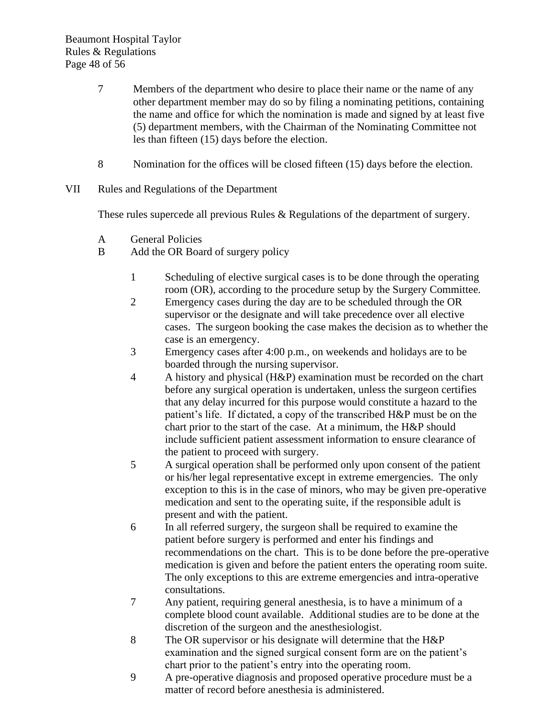- 7 Members of the department who desire to place their name or the name of any other department member may do so by filing a nominating petitions, containing the name and office for which the nomination is made and signed by at least five (5) department members, with the Chairman of the Nominating Committee not les than fifteen (15) days before the election.
- 8 Nomination for the offices will be closed fifteen (15) days before the election.
- VII Rules and Regulations of the Department

These rules supercede all previous Rules & Regulations of the department of surgery.

- A General Policies
- B Add the OR Board of surgery policy
	- 1 Scheduling of elective surgical cases is to be done through the operating room (OR), according to the procedure setup by the Surgery Committee.
	- 2 Emergency cases during the day are to be scheduled through the OR supervisor or the designate and will take precedence over all elective cases. The surgeon booking the case makes the decision as to whether the case is an emergency.
	- 3 Emergency cases after 4:00 p.m., on weekends and holidays are to be boarded through the nursing supervisor.
	- 4 A history and physical (H&P) examination must be recorded on the chart before any surgical operation is undertaken, unless the surgeon certifies that any delay incurred for this purpose would constitute a hazard to the patient's life. If dictated, a copy of the transcribed H&P must be on the chart prior to the start of the case. At a minimum, the H&P should include sufficient patient assessment information to ensure clearance of the patient to proceed with surgery.
	- 5 A surgical operation shall be performed only upon consent of the patient or his/her legal representative except in extreme emergencies. The only exception to this is in the case of minors, who may be given pre-operative medication and sent to the operating suite, if the responsible adult is present and with the patient.
	- 6 In all referred surgery, the surgeon shall be required to examine the patient before surgery is performed and enter his findings and recommendations on the chart. This is to be done before the pre-operative medication is given and before the patient enters the operating room suite. The only exceptions to this are extreme emergencies and intra-operative consultations.
	- 7 Any patient, requiring general anesthesia, is to have a minimum of a complete blood count available. Additional studies are to be done at the discretion of the surgeon and the anesthesiologist.
	- 8 The OR supervisor or his designate will determine that the H&P examination and the signed surgical consent form are on the patient's chart prior to the patient's entry into the operating room.
	- 9 A pre-operative diagnosis and proposed operative procedure must be a matter of record before anesthesia is administered.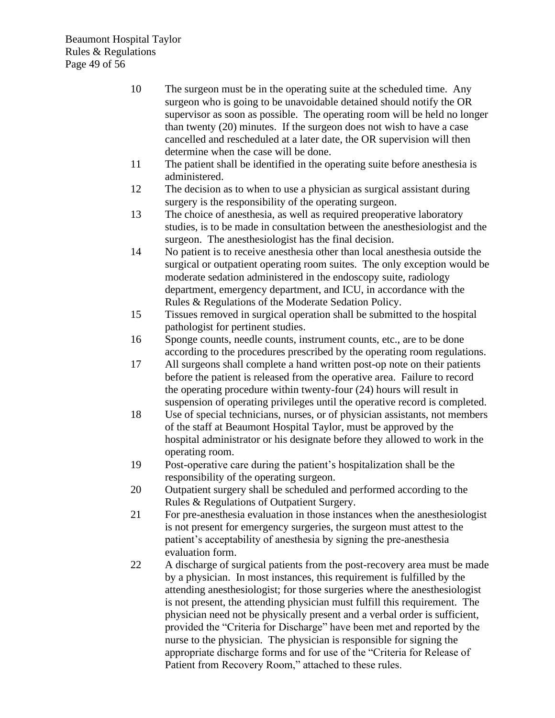Beaumont Hospital Taylor Rules & Regulations Page 49 of 56

- 10 The surgeon must be in the operating suite at the scheduled time. Any surgeon who is going to be unavoidable detained should notify the OR supervisor as soon as possible. The operating room will be held no longer than twenty (20) minutes. If the surgeon does not wish to have a case cancelled and rescheduled at a later date, the OR supervision will then determine when the case will be done.
- 11 The patient shall be identified in the operating suite before anesthesia is administered.
- 12 The decision as to when to use a physician as surgical assistant during surgery is the responsibility of the operating surgeon.
- 13 The choice of anesthesia, as well as required preoperative laboratory studies, is to be made in consultation between the anesthesiologist and the surgeon. The anesthesiologist has the final decision.
- 14 No patient is to receive anesthesia other than local anesthesia outside the surgical or outpatient operating room suites. The only exception would be moderate sedation administered in the endoscopy suite, radiology department, emergency department, and ICU, in accordance with the Rules & Regulations of the Moderate Sedation Policy.
- 15 Tissues removed in surgical operation shall be submitted to the hospital pathologist for pertinent studies.
- 16 Sponge counts, needle counts, instrument counts, etc., are to be done according to the procedures prescribed by the operating room regulations.
- 17 All surgeons shall complete a hand written post-op note on their patients before the patient is released from the operative area. Failure to record the operating procedure within twenty-four (24) hours will result in suspension of operating privileges until the operative record is completed.
- 18 Use of special technicians, nurses, or of physician assistants, not members of the staff at Beaumont Hospital Taylor, must be approved by the hospital administrator or his designate before they allowed to work in the operating room.
- 19 Post-operative care during the patient's hospitalization shall be the responsibility of the operating surgeon.
- 20 Outpatient surgery shall be scheduled and performed according to the Rules & Regulations of Outpatient Surgery.
- 21 For pre-anesthesia evaluation in those instances when the anesthesiologist is not present for emergency surgeries, the surgeon must attest to the patient's acceptability of anesthesia by signing the pre-anesthesia evaluation form.
- 22 A discharge of surgical patients from the post-recovery area must be made by a physician. In most instances, this requirement is fulfilled by the attending anesthesiologist; for those surgeries where the anesthesiologist is not present, the attending physician must fulfill this requirement. The physician need not be physically present and a verbal order is sufficient, provided the "Criteria for Discharge" have been met and reported by the nurse to the physician. The physician is responsible for signing the appropriate discharge forms and for use of the "Criteria for Release of Patient from Recovery Room," attached to these rules.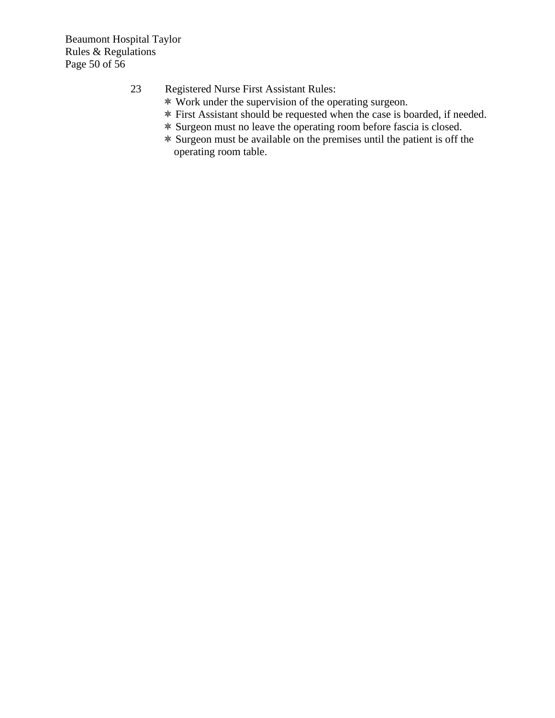Beaumont Hospital Taylor Rules & Regulations Page 50 of 56

# 23 Registered Nurse First Assistant Rules:

- Work under the supervision of the operating surgeon.
- First Assistant should be requested when the case is boarded, if needed.
- Surgeon must no leave the operating room before fascia is closed.
- Surgeon must be available on the premises until the patient is off the operating room table.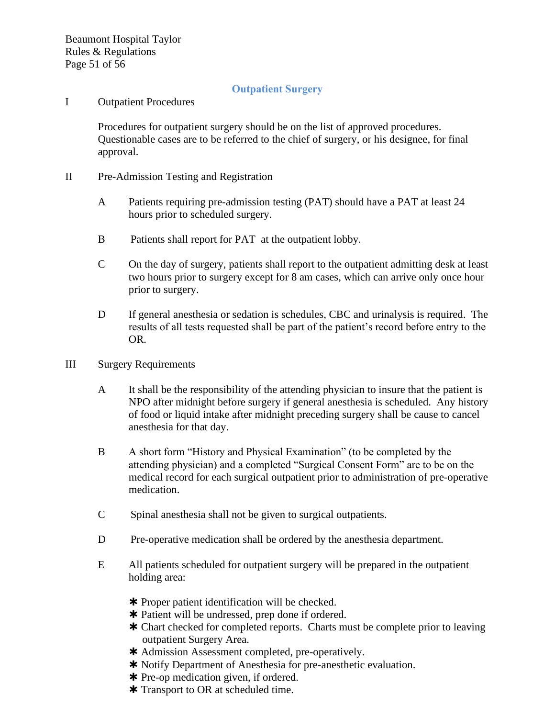## **Outpatient Surgery**

I Outpatient Procedures

Procedures for outpatient surgery should be on the list of approved procedures. Questionable cases are to be referred to the chief of surgery, or his designee, for final approval.

- II Pre-Admission Testing and Registration
	- A Patients requiring pre-admission testing (PAT) should have a PAT at least 24 hours prior to scheduled surgery.
	- B Patients shall report for PAT at the outpatient lobby.
	- C On the day of surgery, patients shall report to the outpatient admitting desk at least two hours prior to surgery except for 8 am cases, which can arrive only once hour prior to surgery.
	- D If general anesthesia or sedation is schedules, CBC and urinalysis is required. The results of all tests requested shall be part of the patient's record before entry to the OR.
- III Surgery Requirements
	- A It shall be the responsibility of the attending physician to insure that the patient is NPO after midnight before surgery if general anesthesia is scheduled. Any history of food or liquid intake after midnight preceding surgery shall be cause to cancel anesthesia for that day.
	- B A short form "History and Physical Examination" (to be completed by the attending physician) and a completed "Surgical Consent Form" are to be on the medical record for each surgical outpatient prior to administration of pre-operative medication.
	- C Spinal anesthesia shall not be given to surgical outpatients.
	- D Pre-operative medication shall be ordered by the anesthesia department.
	- E All patients scheduled for outpatient surgery will be prepared in the outpatient holding area:
		- \* Proper patient identification will be checked.
		- Patient will be undressed, prep done if ordered.
		- Chart checked for completed reports. Charts must be complete prior to leaving outpatient Surgery Area.
		- \* Admission Assessment completed, pre-operatively.
		- \* Notify Department of Anesthesia for pre-anesthetic evaluation.
		- \* Pre-op medication given, if ordered.
		- \* Transport to OR at scheduled time.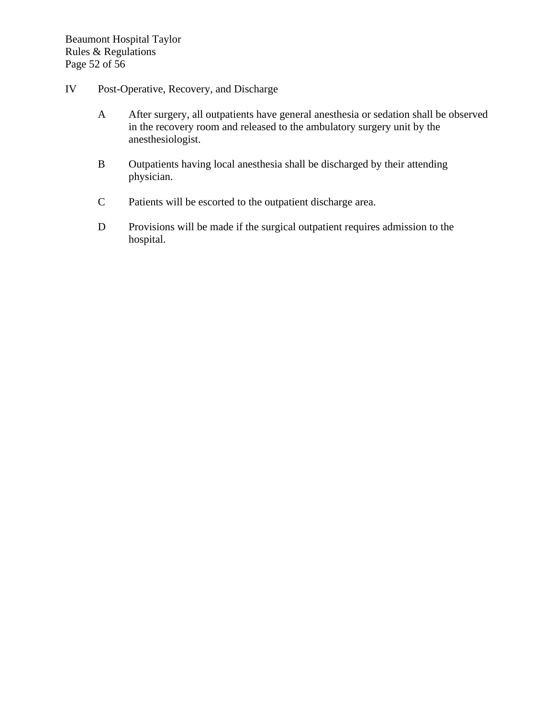- IV Post-Operative, Recovery, and Discharge
	- A After surgery, all outpatients have general anesthesia or sedation shall be observed in the recovery room and released to the ambulatory surgery unit by the anesthesiologist.
	- B Outpatients having local anesthesia shall be discharged by their attending physician.
	- C Patients will be escorted to the outpatient discharge area.
	- D Provisions will be made if the surgical outpatient requires admission to the hospital.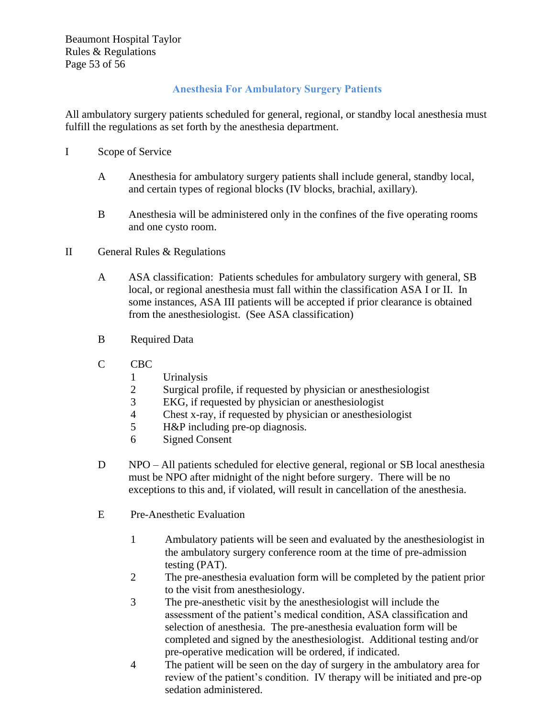Beaumont Hospital Taylor Rules & Regulations Page 53 of 56

# **Anesthesia For Ambulatory Surgery Patients**

All ambulatory surgery patients scheduled for general, regional, or standby local anesthesia must fulfill the regulations as set forth by the anesthesia department.

- I Scope of Service
	- A Anesthesia for ambulatory surgery patients shall include general, standby local, and certain types of regional blocks (IV blocks, brachial, axillary).
	- B Anesthesia will be administered only in the confines of the five operating rooms and one cysto room.
- II General Rules & Regulations
	- A ASA classification: Patients schedules for ambulatory surgery with general, SB local, or regional anesthesia must fall within the classification ASA I or II. In some instances, ASA III patients will be accepted if prior clearance is obtained from the anesthesiologist. (See ASA classification)
	- B Required Data
	- C CBC
		- 1 Urinalysis
		- 2 Surgical profile, if requested by physician or anesthesiologist
		- 3 EKG, if requested by physician or anesthesiologist
		- 4 Chest x-ray, if requested by physician or anesthesiologist
		- 5 H&P including pre-op diagnosis.
		- 6 Signed Consent
	- D NPO All patients scheduled for elective general, regional or SB local anesthesia must be NPO after midnight of the night before surgery. There will be no exceptions to this and, if violated, will result in cancellation of the anesthesia.
	- E Pre-Anesthetic Evaluation
		- 1 Ambulatory patients will be seen and evaluated by the anesthesiologist in the ambulatory surgery conference room at the time of pre-admission testing (PAT).
		- 2 The pre-anesthesia evaluation form will be completed by the patient prior to the visit from anesthesiology.
		- 3 The pre-anesthetic visit by the anesthesiologist will include the assessment of the patient's medical condition, ASA classification and selection of anesthesia. The pre-anesthesia evaluation form will be completed and signed by the anesthesiologist. Additional testing and/or pre-operative medication will be ordered, if indicated.
		- 4 The patient will be seen on the day of surgery in the ambulatory area for review of the patient's condition. IV therapy will be initiated and pre-op sedation administered.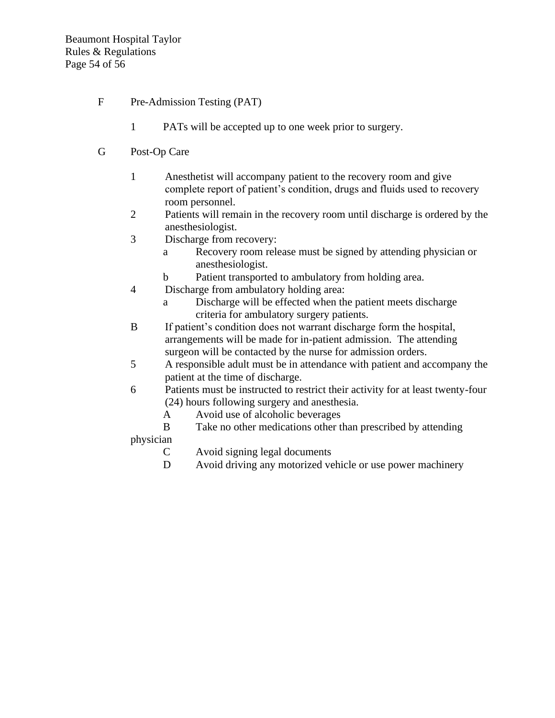- F Pre-Admission Testing (PAT)
	- 1 PATs will be accepted up to one week prior to surgery.
- G Post-Op Care
	- 1 Anesthetist will accompany patient to the recovery room and give complete report of patient's condition, drugs and fluids used to recovery room personnel.
	- 2 Patients will remain in the recovery room until discharge is ordered by the anesthesiologist.
	- 3 Discharge from recovery:
		- a Recovery room release must be signed by attending physician or anesthesiologist.
		- b Patient transported to ambulatory from holding area.
	- 4 Discharge from ambulatory holding area:
		- a Discharge will be effected when the patient meets discharge criteria for ambulatory surgery patients.
	- B If patient's condition does not warrant discharge form the hospital, arrangements will be made for in-patient admission. The attending surgeon will be contacted by the nurse for admission orders.
	- 5 A responsible adult must be in attendance with patient and accompany the patient at the time of discharge.
	- 6 Patients must be instructed to restrict their activity for at least twenty-four (24) hours following surgery and anesthesia.
		- A Avoid use of alcoholic beverages
	- B Take no other medications other than prescribed by attending physician
		- C Avoid signing legal documents
		- D Avoid driving any motorized vehicle or use power machinery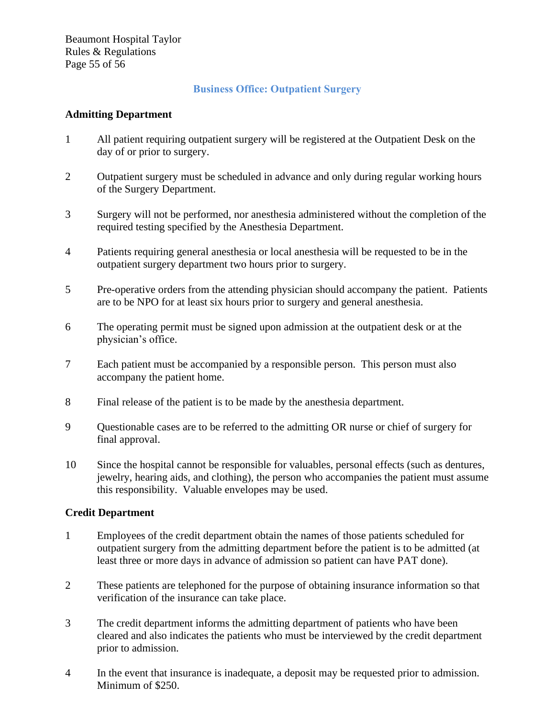Beaumont Hospital Taylor Rules & Regulations Page 55 of 56

## **Business Office: Outpatient Surgery**

#### **Admitting Department**

- 1 All patient requiring outpatient surgery will be registered at the Outpatient Desk on the day of or prior to surgery.
- 2 Outpatient surgery must be scheduled in advance and only during regular working hours of the Surgery Department.
- 3 Surgery will not be performed, nor anesthesia administered without the completion of the required testing specified by the Anesthesia Department.
- 4 Patients requiring general anesthesia or local anesthesia will be requested to be in the outpatient surgery department two hours prior to surgery.
- 5 Pre-operative orders from the attending physician should accompany the patient. Patients are to be NPO for at least six hours prior to surgery and general anesthesia.
- 6 The operating permit must be signed upon admission at the outpatient desk or at the physician's office.
- 7 Each patient must be accompanied by a responsible person. This person must also accompany the patient home.
- 8 Final release of the patient is to be made by the anesthesia department.
- 9 Questionable cases are to be referred to the admitting OR nurse or chief of surgery for final approval.
- 10 Since the hospital cannot be responsible for valuables, personal effects (such as dentures, jewelry, hearing aids, and clothing), the person who accompanies the patient must assume this responsibility. Valuable envelopes may be used.

#### **Credit Department**

- 1 Employees of the credit department obtain the names of those patients scheduled for outpatient surgery from the admitting department before the patient is to be admitted (at least three or more days in advance of admission so patient can have PAT done).
- 2 These patients are telephoned for the purpose of obtaining insurance information so that verification of the insurance can take place.
- 3 The credit department informs the admitting department of patients who have been cleared and also indicates the patients who must be interviewed by the credit department prior to admission.
- 4 In the event that insurance is inadequate, a deposit may be requested prior to admission. Minimum of \$250.